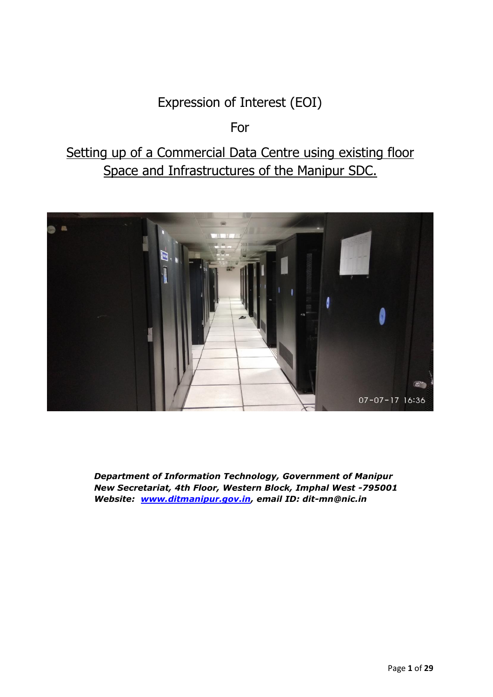# Expression of Interest (EOI)

## For

# Setting up of a Commercial Data Centre using existing floor Space and Infrastructures of the Manipur SDC.



*Department of Information Technology, Government of Manipur New Secretariat, 4th Floor, Western Block, Imphal West -795001 Website: [www.ditmanipur.gov.in,](http://www.ditmanipur.gov.in/) email ID: dit-mn@nic.in*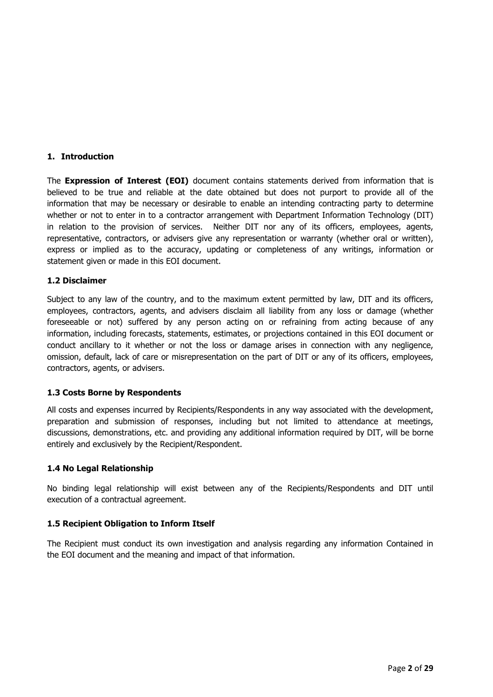#### **1. Introduction**

The **Expression of Interest (EOI)** document contains statements derived from information that is believed to be true and reliable at the date obtained but does not purport to provide all of the information that may be necessary or desirable to enable an intending contracting party to determine whether or not to enter in to a contractor arrangement with Department Information Technology (DIT) in relation to the provision of services. Neither DIT nor any of its officers, employees, agents, representative, contractors, or advisers give any representation or warranty (whether oral or written), express or implied as to the accuracy, updating or completeness of any writings, information or statement given or made in this EOI document.

#### **1.2 Disclaimer**

Subject to any law of the country, and to the maximum extent permitted by law, DIT and its officers, employees, contractors, agents, and advisers disclaim all liability from any loss or damage (whether foreseeable or not) suffered by any person acting on or refraining from acting because of any information, including forecasts, statements, estimates, or projections contained in this EOI document or conduct ancillary to it whether or not the loss or damage arises in connection with any negligence, omission, default, lack of care or misrepresentation on the part of DIT or any of its officers, employees, contractors, agents, or advisers.

#### **1.3 Costs Borne by Respondents**

All costs and expenses incurred by Recipients/Respondents in any way associated with the development, preparation and submission of responses, including but not limited to attendance at meetings, discussions, demonstrations, etc. and providing any additional information required by DIT, will be borne entirely and exclusively by the Recipient/Respondent.

#### **1.4 No Legal Relationship**

No binding legal relationship will exist between any of the Recipients/Respondents and DIT until execution of a contractual agreement.

#### **1.5 Recipient Obligation to Inform Itself**

The Recipient must conduct its own investigation and analysis regarding any information Contained in the EOI document and the meaning and impact of that information.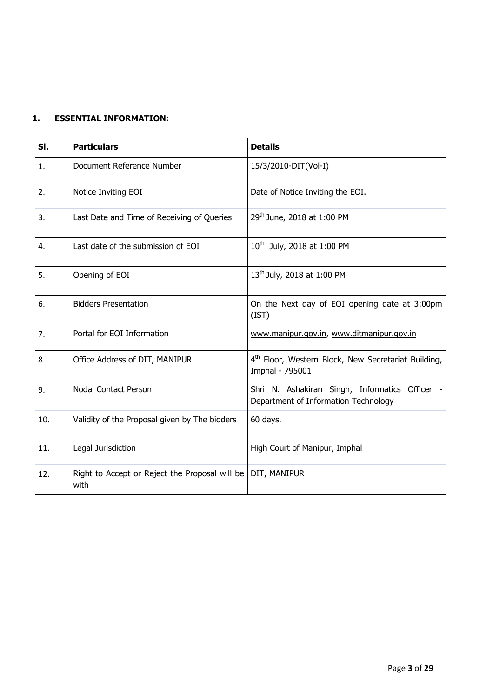## **1. ESSENTIAL INFORMATION:**

| SI. | <b>Particulars</b>                                     | <b>Details</b>                                                                         |
|-----|--------------------------------------------------------|----------------------------------------------------------------------------------------|
| 1.  | Document Reference Number                              | 15/3/2010-DIT(Vol-I)                                                                   |
| 2.  | Notice Inviting EOI                                    | Date of Notice Inviting the EOI.                                                       |
| 3.  | Last Date and Time of Receiving of Queries             | 29 <sup>th</sup> June, 2018 at 1:00 PM                                                 |
| 4.  | Last date of the submission of EOI                     | 10 <sup>th</sup> July, 2018 at 1:00 PM                                                 |
| 5.  | Opening of EOI                                         | 13 <sup>th</sup> July, 2018 at 1:00 PM                                                 |
| 6.  | <b>Bidders Presentation</b>                            | On the Next day of EOI opening date at 3:00pm<br>(IST)                                 |
| 7.  | Portal for EOI Information                             | www.manipur.gov.in, www.ditmanipur.gov.in                                              |
| 8.  | Office Address of DIT, MANIPUR                         | 4 <sup>th</sup> Floor, Western Block, New Secretariat Building,<br>Imphal - 795001     |
| 9.  | <b>Nodal Contact Person</b>                            | Shri N. Ashakiran Singh, Informatics Officer -<br>Department of Information Technology |
| 10. | Validity of the Proposal given by The bidders          | 60 days.                                                                               |
| 11. | Legal Jurisdiction                                     | High Court of Manipur, Imphal                                                          |
| 12. | Right to Accept or Reject the Proposal will be<br>with | DIT, MANIPUR                                                                           |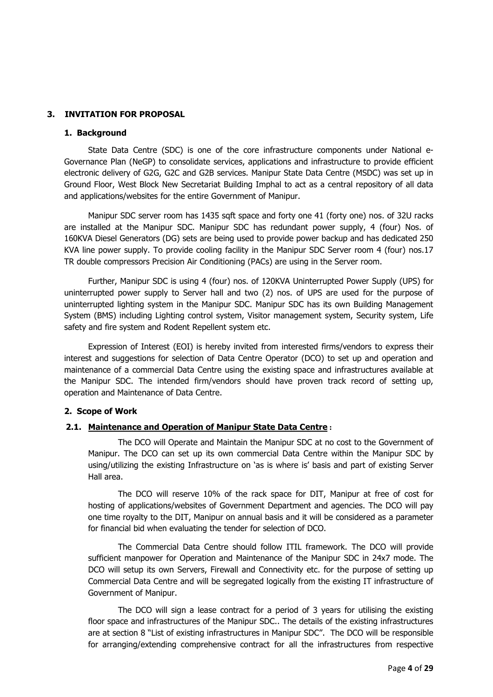#### **3. INVITATION FOR PROPOSAL**

#### **1. Background**

State Data Centre (SDC) is one of the core infrastructure components under National e-Governance Plan (NeGP) to consolidate services, applications and infrastructure to provide efficient electronic delivery of G2G, G2C and G2B services. Manipur State Data Centre (MSDC) was set up in Ground Floor, West Block New Secretariat Building Imphal to act as a central repository of all data and applications/websites for the entire Government of Manipur.

Manipur SDC server room has 1435 sqft space and forty one 41 (forty one) nos. of 32U racks are installed at the Manipur SDC. Manipur SDC has redundant power supply, 4 (four) Nos. of 160KVA Diesel Generators (DG) sets are being used to provide power backup and has dedicated 250 KVA line power supply. To provide cooling facility in the Manipur SDC Server room 4 (four) nos.17 TR double compressors Precision Air Conditioning (PACs) are using in the Server room.

Further, Manipur SDC is using 4 (four) nos. of 120KVA Uninterrupted Power Supply (UPS) for uninterrupted power supply to Server hall and two (2) nos. of UPS are used for the purpose of uninterrupted lighting system in the Manipur SDC. Manipur SDC has its own Building Management System (BMS) including Lighting control system, Visitor management system, Security system, Life safety and fire system and Rodent Repellent system etc.

Expression of Interest (EOI) is hereby invited from interested firms/vendors to express their interest and suggestions for selection of Data Centre Operator (DCO) to set up and operation and maintenance of a commercial Data Centre using the existing space and infrastructures available at the Manipur SDC. The intended firm/vendors should have proven track record of setting up, operation and Maintenance of Data Centre.

#### **2. Scope of Work**

#### **2.1. Maintenance and Operation of Manipur State Data Centre :**

The DCO will Operate and Maintain the Manipur SDC at no cost to the Government of Manipur. The DCO can set up its own commercial Data Centre within the Manipur SDC by using/utilizing the existing Infrastructure on 'as is where is' basis and part of existing Server Hall area.

The DCO will reserve 10% of the rack space for DIT, Manipur at free of cost for hosting of applications/websites of Government Department and agencies. The DCO will pay one time royalty to the DIT, Manipur on annual basis and it will be considered as a parameter for financial bid when evaluating the tender for selection of DCO.

The Commercial Data Centre should follow ITIL framework. The DCO will provide sufficient manpower for Operation and Maintenance of the Manipur SDC in 24x7 mode. The DCO will setup its own Servers, Firewall and Connectivity etc. for the purpose of setting up Commercial Data Centre and will be segregated logically from the existing IT infrastructure of Government of Manipur.

The DCO will sign a lease contract for a period of 3 years for utilising the existing floor space and infrastructures of the Manipur SDC.. The details of the existing infrastructures are at section 8 "List of existing infrastructures in Manipur SDC". The DCO will be responsible for arranging/extending comprehensive contract for all the infrastructures from respective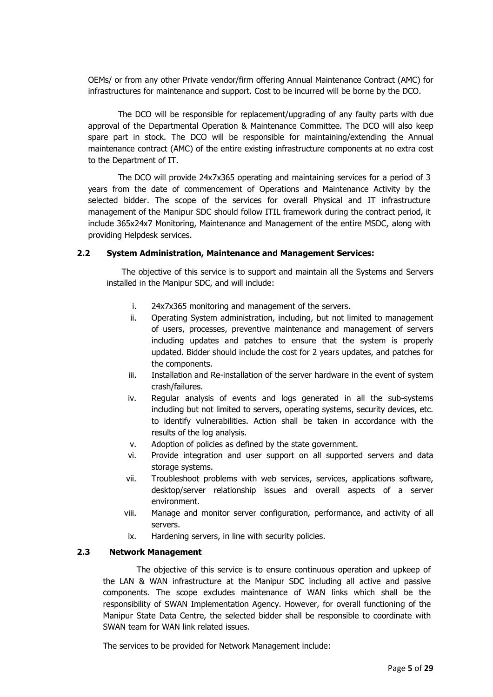OEMs/ or from any other Private vendor/firm offering Annual Maintenance Contract (AMC) for infrastructures for maintenance and support. Cost to be incurred will be borne by the DCO.

The DCO will be responsible for replacement/upgrading of any faulty parts with due approval of the Departmental Operation & Maintenance Committee. The DCO will also keep spare part in stock. The DCO will be responsible for maintaining/extending the Annual maintenance contract (AMC) of the entire existing infrastructure components at no extra cost to the Department of IT.

The DCO will provide 24x7x365 operating and maintaining services for a period of 3 years from the date of commencement of Operations and Maintenance Activity by the selected bidder. The scope of the services for overall Physical and IT infrastructure management of the Manipur SDC should follow ITIL framework during the contract period, it include 365x24x7 Monitoring, Maintenance and Management of the entire MSDC, along with providing Helpdesk services.

#### **2.2 System Administration, Maintenance and Management Services:**

The objective of this service is to support and maintain all the Systems and Servers installed in the Manipur SDC, and will include:

- i. 24x7x365 monitoring and management of the servers.
- ii. Operating System administration, including, but not limited to management of users, processes, preventive maintenance and management of servers including updates and patches to ensure that the system is properly updated. Bidder should include the cost for 2 years updates, and patches for the components.
- iii. Installation and Re-installation of the server hardware in the event of system crash/failures.
- iv. Regular analysis of events and logs generated in all the sub-systems including but not limited to servers, operating systems, security devices, etc. to identify vulnerabilities. Action shall be taken in accordance with the results of the log analysis.
- v. Adoption of policies as defined by the state government.
- vi. Provide integration and user support on all supported servers and data storage systems.
- vii. Troubleshoot problems with web services, services, applications software, desktop/server relationship issues and overall aspects of a server environment.
- viii. Manage and monitor server configuration, performance, and activity of all servers.
- ix. Hardening servers, in line with security policies.

#### **2.3 Network Management**

The objective of this service is to ensure continuous operation and upkeep of the LAN & WAN infrastructure at the Manipur SDC including all active and passive components. The scope excludes maintenance of WAN links which shall be the responsibility of SWAN Implementation Agency. However, for overall functioning of the Manipur State Data Centre, the selected bidder shall be responsible to coordinate with SWAN team for WAN link related issues.

The services to be provided for Network Management include: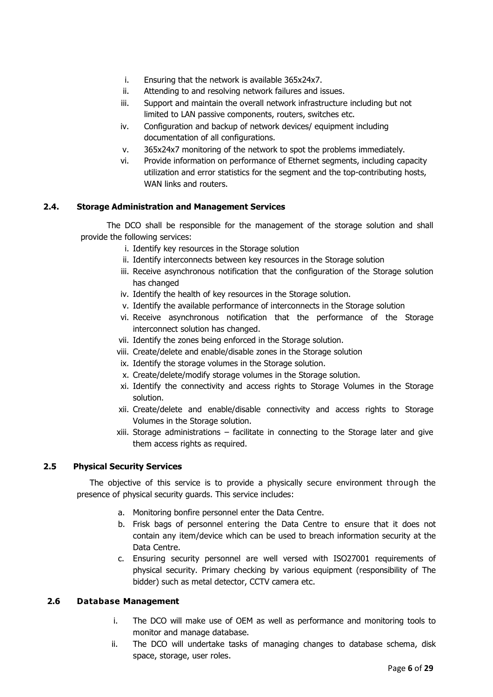- i. Ensuring that the network is available 365x24x7.
- ii. Attending to and resolving network failures and issues.
- iii. Support and maintain the overall network infrastructure including but not limited to LAN passive components, routers, switches etc.
- iv. Configuration and backup of network devices/ equipment including documentation of all configurations.
- v. 365x24x7 monitoring of the network to spot the problems immediately.
- vi. Provide information on performance of Ethernet segments, including capacity utilization and error statistics for the segment and the top-contributing hosts, WAN links and routers.

#### **2.4. Storage Administration and Management Services**

The DCO shall be responsible for the management of the storage solution and shall provide the following services:

- i. Identify key resources in the Storage solution
- ii. Identify interconnects between key resources in the Storage solution
- iii. Receive asynchronous notification that the configuration of the Storage solution has changed
- iv. Identify the health of key resources in the Storage solution.
- v. Identify the available performance of interconnects in the Storage solution
- vi. Receive asynchronous notification that the performance of the Storage interconnect solution has changed.
- vii. Identify the zones being enforced in the Storage solution.
- viii. Create/delete and enable/disable zones in the Storage solution
- ix. Identify the storage volumes in the Storage solution.
- x. Create/delete/modify storage volumes in the Storage solution.
- xi. Identify the connectivity and access rights to Storage Volumes in the Storage solution.
- xii. Create/delete and enable/disable connectivity and access rights to Storage Volumes in the Storage solution.
- xiii. Storage administrations facilitate in connecting to the Storage later and give them access rights as required.

#### **2.5 Physical Security Services**

The objective of this service is to provide a physically secure environment through the presence of physical security guards. This service includes:

- a. Monitoring bonfire personnel enter the Data Centre.
- b. Frisk bags of personnel entering the Data Centre to ensure that it does not contain any item/device which can be used to breach information security at the Data Centre.
- c. Ensuring security personnel are well versed with ISO27001 requirements of physical security. Primary checking by various equipment (responsibility of The bidder) such as metal detector, CCTV camera etc.

#### **2.6 Database Management**

- i. The DCO will make use of OEM as well as performance and monitoring tools to monitor and manage database.
- ii. The DCO will undertake tasks of managing changes to database schema, disk space, storage, user roles.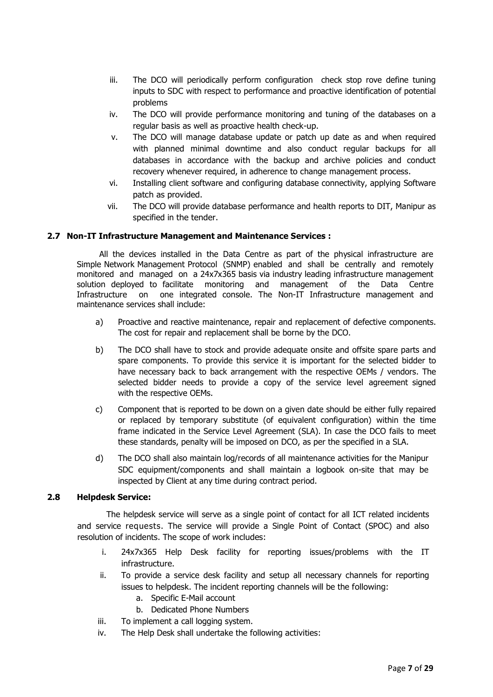- iii. The DCO will periodically perform configuration check stop rove define tuning inputs to SDC with respect to performance and proactive identification of potential problems
- iv. The DCO will provide performance monitoring and tuning of the databases on a regular basis as well as proactive health check-up.
- v. The DCO will manage database update or patch up date as and when required with planned minimal downtime and also conduct regular backups for all databases in accordance with the backup and archive policies and conduct recovery whenever required, in adherence to change management process.
- vi. Installing client software and configuring database connectivity, applying Software patch as provided.
- vii. The DCO will provide database performance and health reports to DIT, Manipur as specified in the tender.

#### **2.7 Non-IT Infrastructure Management and Maintenance Services :**

All the devices installed in the Data Centre as part of the physical infrastructure are Simple Network Management Protocol (SNMP) enabled and shall be centrally and remotely monitored and managed on a 24x7x365 basis via industry leading infrastructure management solution deployed to facilitate monitoring and management of the Data Centre Infrastructure on one integrated console. The Non-IT Infrastructure management and maintenance services shall include:

- a) Proactive and reactive maintenance, repair and replacement of defective components. The cost for repair and replacement shall be borne by the DCO.
- b) The DCO shall have to stock and provide adequate onsite and offsite spare parts and spare components. To provide this service it is important for the selected bidder to have necessary back to back arrangement with the respective OEMs / vendors. The selected bidder needs to provide a copy of the service level agreement signed with the respective OEMs.
- c) Component that is reported to be down on a given date should be either fully repaired or replaced by temporary substitute (of equivalent configuration) within the time frame indicated in the Service Level Agreement (SLA). In case the DCO fails to meet these standards, penalty will be imposed on DCO, as per the specified in a SLA.
- d) The DCO shall also maintain log/records of all maintenance activities for the Manipur SDC equipment/components and shall maintain a logbook on-site that may be inspected by Client at any time during contract period.

#### **2.8 Helpdesk Service:**

The helpdesk service will serve as a single point of contact for all ICT related incidents and service requests. The service will provide a Single Point of Contact (SPOC) and also resolution of incidents. The scope of work includes:

- i. 24x7x365 Help Desk facility for reporting issues/problems with the IT infrastructure.
- ii. To provide a service desk facility and setup all necessary channels for reporting issues to helpdesk. The incident reporting channels will be the following:
	- a. Specific E-Mail account
	- b. Dedicated Phone Numbers
- iii. To implement a call logging system.
- iv. The Help Desk shall undertake the following activities: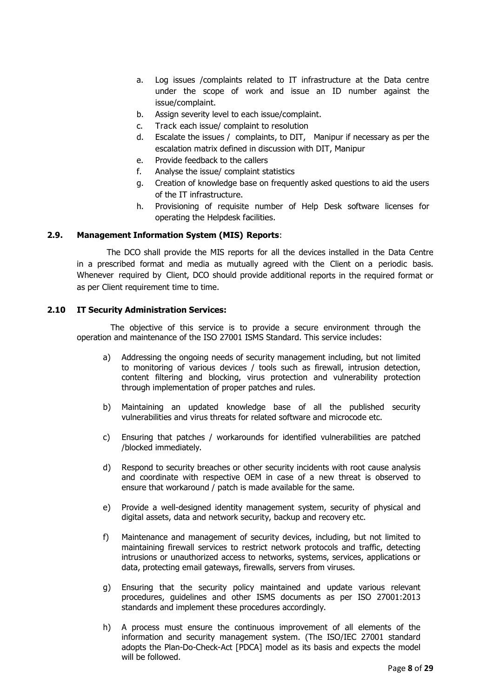- a. Log issues /complaints related to IT infrastructure at the Data centre under the scope of work and issue an ID number against the issue/complaint.
- b. Assign severity level to each issue/complaint.
- c. Track each issue/ complaint to resolution
- d. Escalate the issues / complaints, to DIT, Manipur if necessary as per the escalation matrix defined in discussion with DIT, Manipur
- e. Provide feedback to the callers
- f. Analyse the issue/ complaint statistics
- g. Creation of knowledge base on frequently asked questions to aid the users of the IT infrastructure.
- h. Provisioning of requisite number of Help Desk software licenses for operating the Helpdesk facilities.

#### **2.9. Management Information System (MIS) Reports**:

The DCO shall provide the MIS reports for all the devices installed in the Data Centre in a prescribed format and media as mutually agreed with the Client on a periodic basis. Whenever required by Client, DCO should provide additional reports in the required format or as per Client requirement time to time.

#### **2.10 IT Security Administration Services:**

The objective of this service is to provide a secure environment through the operation and maintenance of the ISO 27001 ISMS Standard. This service includes:

- a) Addressing the ongoing needs of security management including, but not limited to monitoring of various devices / tools such as firewall, intrusion detection, content filtering and blocking, virus protection and vulnerability protection through implementation of proper patches and rules.
- b) Maintaining an updated knowledge base of all the published security vulnerabilities and virus threats for related software and microcode etc.
- c) Ensuring that patches / workarounds for identified vulnerabilities are patched /blocked immediately.
- d) Respond to security breaches or other security incidents with root cause analysis and coordinate with respective OEM in case of a new threat is observed to ensure that workaround / patch is made available for the same.
- e) Provide a well-designed identity management system, security of physical and digital assets, data and network security, backup and recovery etc.
- f) Maintenance and management of security devices, including, but not limited to maintaining firewall services to restrict network protocols and traffic, detecting intrusions or unauthorized access to networks, systems, services, applications or data, protecting email gateways, firewalls, servers from viruses.
- g) Ensuring that the security policy maintained and update various relevant procedures, guidelines and other ISMS documents as per ISO 27001:2013 standards and implement these procedures accordingly.
- h) A process must ensure the continuous improvement of all elements of the information and security management system. (The ISO/IEC 27001 standard adopts the Plan-Do-Check-Act [PDCA] model as its basis and expects the model will be followed.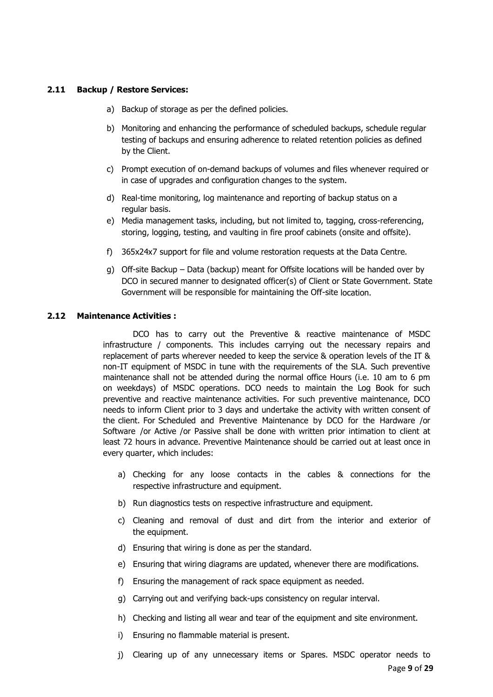#### **2.11 Backup / Restore Services:**

- a) Backup of storage as per the defined policies.
- b) Monitoring and enhancing the performance of scheduled backups, schedule regular testing of backups and ensuring adherence to related retention policies as defined by the Client.
- c) Prompt execution of on-demand backups of volumes and files whenever required or in case of upgrades and configuration changes to the system.
- d) Real-time monitoring, log maintenance and reporting of backup status on a regular basis.
- e) Media management tasks, including, but not limited to, tagging, cross-referencing, storing, logging, testing, and vaulting in fire proof cabinets (onsite and offsite).
- f) 365x24x7 support for file and volume restoration requests at the Data Centre.
- g) Off-site Backup Data (backup) meant for Offsite locations will be handed over by DCO in secured manner to designated officer(s) of Client or State Government. State Government will be responsible for maintaining the Off-site location.

#### **2.12 Maintenance Activities :**

DCO has to carry out the Preventive & reactive maintenance of MSDC infrastructure / components. This includes carrying out the necessary repairs and replacement of parts wherever needed to keep the service & operation levels of the IT & non-IT equipment of MSDC in tune with the requirements of the SLA. Such preventive maintenance shall not be attended during the normal office Hours (i.e. 10 am to 6 pm on weekdays) of MSDC operations. DCO needs to maintain the Log Book for such preventive and reactive maintenance activities. For such preventive maintenance, DCO needs to inform Client prior to 3 days and undertake the activity with written consent of the client. For Scheduled and Preventive Maintenance by DCO for the Hardware /or Software /or Active /or Passive shall be done with written prior intimation to client at least 72 hours in advance. Preventive Maintenance should be carried out at least once in every quarter, which includes:

- a) Checking for any loose contacts in the cables & connections for the respective infrastructure and equipment.
- b) Run diagnostics tests on respective infrastructure and equipment.
- c) Cleaning and removal of dust and dirt from the interior and exterior of the equipment.
- d) Ensuring that wiring is done as per the standard.
- e) Ensuring that wiring diagrams are updated, whenever there are modifications.
- f) Ensuring the management of rack space equipment as needed.
- g) Carrying out and verifying back-ups consistency on regular interval.
- h) Checking and listing all wear and tear of the equipment and site environment.
- i) Ensuring no flammable material is present.
- j) Clearing up of any unnecessary items or Spares. MSDC operator needs to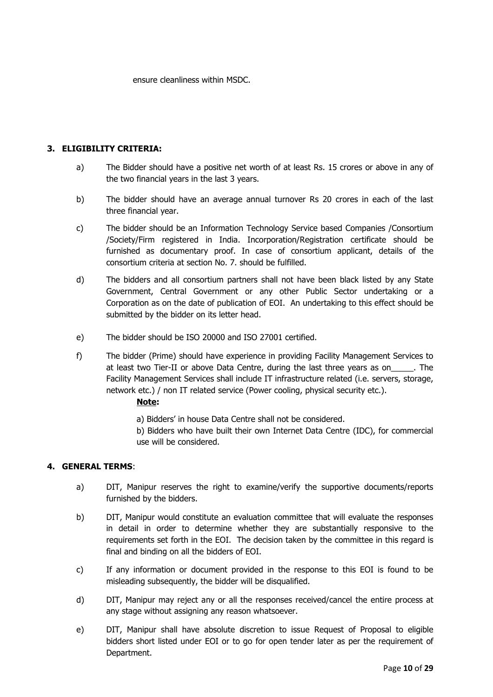ensure cleanliness within MSDC.

#### **3. ELIGIBILITY CRITERIA:**

- a) The Bidder should have a positive net worth of at least Rs. 15 crores or above in any of the two financial years in the last 3 years.
- b) The bidder should have an average annual turnover Rs 20 crores in each of the last three financial year.
- c) The bidder should be an Information Technology Service based Companies /Consortium /Society/Firm registered in India. Incorporation/Registration certificate should be furnished as documentary proof. In case of consortium applicant, details of the consortium criteria at section No. 7. should be fulfilled.
- d) The bidders and all consortium partners shall not have been black listed by any State Government, Central Government or any other Public Sector undertaking or a Corporation as on the date of publication of EOI. An undertaking to this effect should be submitted by the bidder on its letter head.
- e) The bidder should be ISO 20000 and ISO 27001 certified.
- f) The bidder (Prime) should have experience in providing Facility Management Services to at least two Tier-II or above Data Centre, during the last three years as on\_\_\_\_\_. The Facility Management Services shall include IT infrastructure related (i.e. servers, storage, network etc.) / non IT related service (Power cooling, physical security etc.).

#### **Note:**

- a) Bidders' in house Data Centre shall not be considered.
- b) Bidders who have built their own Internet Data Centre (IDC), for commercial use will be considered.

#### **4. GENERAL TERMS**:

- a) DIT, Manipur reserves the right to examine/verify the supportive documents/reports furnished by the bidders.
- b) DIT, Manipur would constitute an evaluation committee that will evaluate the responses in detail in order to determine whether they are substantially responsive to the requirements set forth in the EOI. The decision taken by the committee in this regard is final and binding on all the bidders of EOI.
- c) If any information or document provided in the response to this EOI is found to be misleading subsequently, the bidder will be disqualified.
- d) DIT, Manipur may reject any or all the responses received/cancel the entire process at any stage without assigning any reason whatsoever.
- e) DIT, Manipur shall have absolute discretion to issue Request of Proposal to eligible bidders short listed under EOI or to go for open tender later as per the requirement of Department.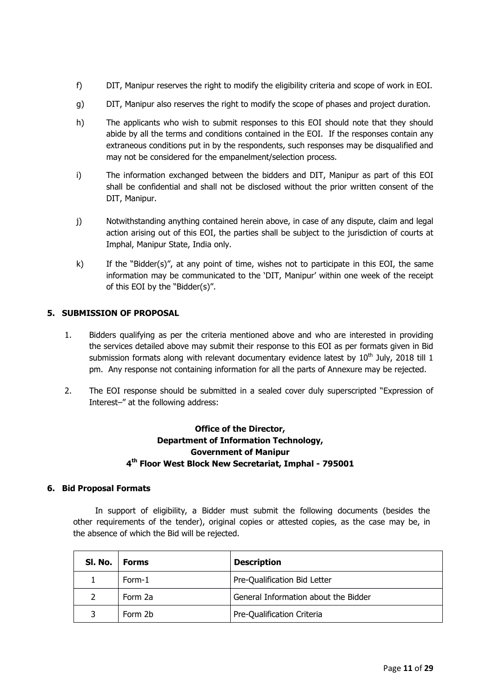- f) DIT, Manipur reserves the right to modify the eligibility criteria and scope of work in EOI.
- g) DIT, Manipur also reserves the right to modify the scope of phases and project duration.
- h) The applicants who wish to submit responses to this EOI should note that they should abide by all the terms and conditions contained in the EOI. If the responses contain any extraneous conditions put in by the respondents, such responses may be disqualified and may not be considered for the empanelment/selection process.
- i) The information exchanged between the bidders and DIT, Manipur as part of this EOI shall be confidential and shall not be disclosed without the prior written consent of the DIT, Manipur.
- j) Notwithstanding anything contained herein above, in case of any dispute, claim and legal action arising out of this EOI, the parties shall be subject to the jurisdiction of courts at Imphal, Manipur State, India only.
- k) If the "Bidder(s)", at any point of time, wishes not to participate in this EOI, the same information may be communicated to the 'DIT, Manipur' within one week of the receipt of this EOI by the "Bidder(s)".

#### **5. SUBMISSION OF PROPOSAL**

- 1. Bidders qualifying as per the criteria mentioned above and who are interested in providing the services detailed above may submit their response to this EOI as per formats given in Bid submission formats along with relevant documentary evidence latest by  $10<sup>th</sup>$  July, 2018 till 1 pm. Any response not containing information for all the parts of Annexure may be rejected.
- 2. The EOI response should be submitted in a sealed cover duly superscripted "Expression of Interest–" at the following address:

## **Office of the Director, Department of Information Technology, Government of Manipur 4 th Floor West Block New Secretariat, Imphal - 795001**

#### **6. Bid Proposal Formats**

In support of eligibility, a Bidder must submit the following documents (besides the other requirements of the tender), original copies or attested copies, as the case may be, in the absence of which the Bid will be rejected.

| SI. No. | Forms   | <b>Description</b>                   |  |  |
|---------|---------|--------------------------------------|--|--|
|         | Form-1  | Pre-Qualification Bid Letter         |  |  |
|         | Form 2a | General Information about the Bidder |  |  |
|         | Form 2b | Pre-Qualification Criteria           |  |  |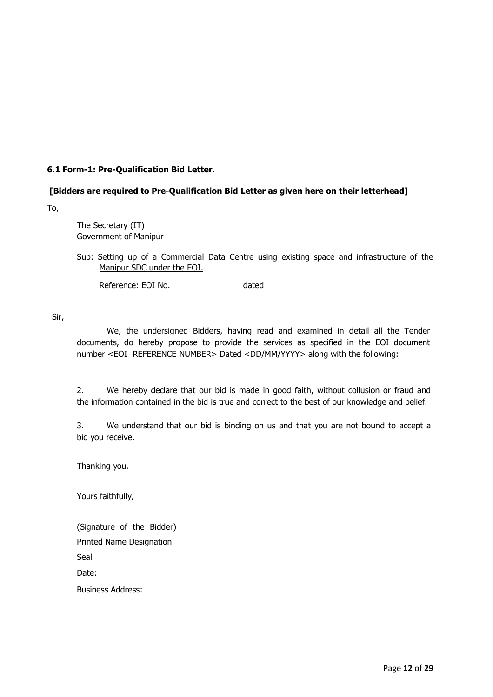#### **6.1 Form-1: Pre-Qualification Bid Letter**.

#### **[Bidders are required to Pre-Qualification Bid Letter as given here on their letterhead]**

To,

The Secretary (IT) Government of Manipur

#### Sub: Setting up of a Commercial Data Centre using existing space and infrastructure of the Manipur SDC under the EOI.

Reference: EOI No. \_\_\_\_\_\_\_\_\_\_\_\_\_\_\_ dated \_\_\_\_\_\_\_\_\_\_\_\_

Sir,

We, the undersigned Bidders, having read and examined in detail all the Tender documents, do hereby propose to provide the services as specified in the EOI document number <EOI REFERENCE NUMBER> Dated <DD/MM/YYYY> along with the following:

2. We hereby declare that our bid is made in good faith, without collusion or fraud and the information contained in the bid is true and correct to the best of our knowledge and belief.

3. We understand that our bid is binding on us and that you are not bound to accept a bid you receive.

Thanking you,

Yours faithfully,

| (Signature of the Bidder)       |  |  |
|---------------------------------|--|--|
| <b>Printed Name Designation</b> |  |  |
| Seal                            |  |  |
| Date:                           |  |  |
| <b>Business Address:</b>        |  |  |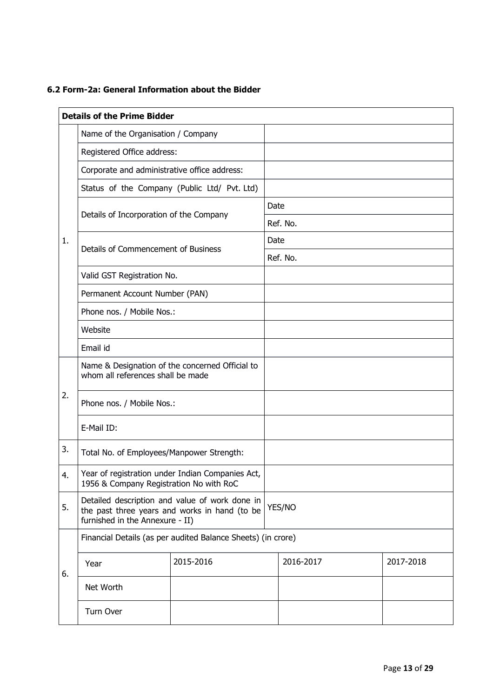### **6.2 Form-2a: General Information about the Bidder**

|    | <b>Details of the Prime Bidder</b>                                                                                                           |                                                              |      |           |  |           |  |
|----|----------------------------------------------------------------------------------------------------------------------------------------------|--------------------------------------------------------------|------|-----------|--|-----------|--|
|    | Name of the Organisation / Company                                                                                                           |                                                              |      |           |  |           |  |
|    | Registered Office address:                                                                                                                   |                                                              |      |           |  |           |  |
|    | Corporate and administrative office address:                                                                                                 |                                                              |      |           |  |           |  |
|    |                                                                                                                                              | Status of the Company (Public Ltd/ Pvt. Ltd)                 |      |           |  |           |  |
|    | Details of Incorporation of the Company                                                                                                      |                                                              | Date |           |  |           |  |
|    |                                                                                                                                              |                                                              |      | Ref. No.  |  |           |  |
| 1. | Details of Commencement of Business                                                                                                          |                                                              | Date |           |  |           |  |
|    |                                                                                                                                              |                                                              |      | Ref. No.  |  |           |  |
|    | Valid GST Registration No.                                                                                                                   |                                                              |      |           |  |           |  |
|    | Permanent Account Number (PAN)                                                                                                               |                                                              |      |           |  |           |  |
|    | Phone nos. / Mobile Nos.:                                                                                                                    |                                                              |      |           |  |           |  |
|    | Website                                                                                                                                      |                                                              |      |           |  |           |  |
|    | Email id                                                                                                                                     |                                                              |      |           |  |           |  |
|    | Name & Designation of the concerned Official to<br>whom all references shall be made                                                         |                                                              |      |           |  |           |  |
| 2. | Phone nos. / Mobile Nos.:                                                                                                                    |                                                              |      |           |  |           |  |
|    | E-Mail ID:                                                                                                                                   |                                                              |      |           |  |           |  |
| 3. | Total No. of Employees/Manpower Strength:                                                                                                    |                                                              |      |           |  |           |  |
| 4. | 1956 & Company Registration No with RoC                                                                                                      | Year of registration under Indian Companies Act,             |      |           |  |           |  |
| 5. | Detailed description and value of work done in<br>YES/NO<br>the past three years and works in hand (to be<br>furnished in the Annexure - II) |                                                              |      |           |  |           |  |
|    |                                                                                                                                              | Financial Details (as per audited Balance Sheets) (in crore) |      |           |  |           |  |
| 6. | Year                                                                                                                                         | 2015-2016                                                    |      | 2016-2017 |  | 2017-2018 |  |
|    | Net Worth                                                                                                                                    |                                                              |      |           |  |           |  |
|    | Turn Over                                                                                                                                    |                                                              |      |           |  |           |  |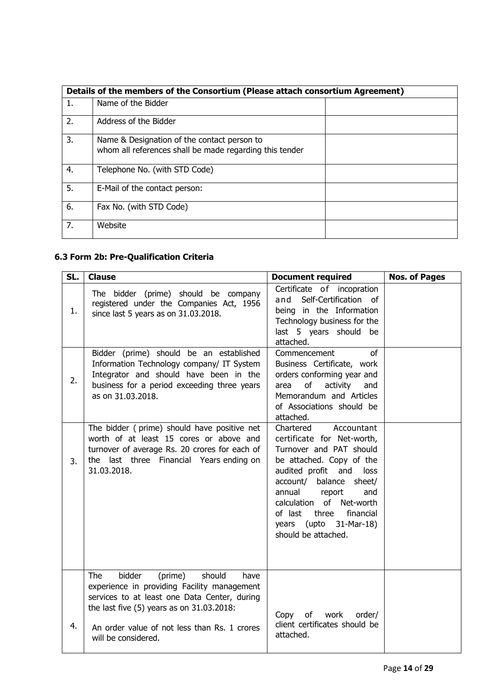|    | Details of the members of the Consortium (Please attach consortium Agreement)                          |  |  |  |  |
|----|--------------------------------------------------------------------------------------------------------|--|--|--|--|
| 1. | Name of the Bidder                                                                                     |  |  |  |  |
| 2. | Address of the Bidder                                                                                  |  |  |  |  |
| 3. | Name & Designation of the contact person to<br>whom all references shall be made regarding this tender |  |  |  |  |
| 4. | Telephone No. (with STD Code)                                                                          |  |  |  |  |
| 5. | E-Mail of the contact person:                                                                          |  |  |  |  |
| 6. | Fax No. (with STD Code)                                                                                |  |  |  |  |
| 7. | Website                                                                                                |  |  |  |  |

## **6.3 Form 2b: Pre-Qualification Criteria**

| SL. | <b>Clause</b>                                                                                                                                                                                                                                                 | <b>Document required</b>                                                                                                                                                                                                                                                                                 | <b>Nos. of Pages</b> |
|-----|---------------------------------------------------------------------------------------------------------------------------------------------------------------------------------------------------------------------------------------------------------------|----------------------------------------------------------------------------------------------------------------------------------------------------------------------------------------------------------------------------------------------------------------------------------------------------------|----------------------|
| 1.  | The bidder (prime) should be company<br>registered under the Companies Act, 1956<br>since last 5 years as on 31.03.2018.                                                                                                                                      | Certificate of incopration<br>and Self-Certification of<br>being in the Information<br>Technology business for the<br>last 5 years should be<br>attached.                                                                                                                                                |                      |
| 2.  | Bidder (prime) should be an established<br>Information Technology company/ IT System<br>Integrator and should have been in the<br>business for a period exceeding three years<br>as on 31.03.2018.                                                            | of<br>Commencement<br>Business Certificate, work<br>orders conforming year and<br>of<br>activity<br>and<br>area<br>Memorandum and Articles<br>of Associations should be<br>attached.                                                                                                                     |                      |
| 3.  | The bidder (prime) should have positive net<br>worth of at least 15 cores or above and<br>turnover of average Rs. 20 crores for each of<br>the last three Financial Years ending on<br>31.03.2018.                                                            | Accountant<br>Chartered<br>certificate for Net-worth,<br>Turnover and PAT should<br>be attached. Copy of the<br>audited profit and<br>loss<br>account/ balance<br>sheet/<br>annual report<br>and<br>calculation of Net-worth<br>of last three financial<br>years (upto 31-Mar-18)<br>should be attached. |                      |
| 4.  | bidder<br>should<br>The<br>(prime)<br>have<br>experience in providing Facility management<br>services to at least one Data Center, during<br>the last five (5) years as on 31.03.2018:<br>An order value of not less than Rs. 1 crores<br>will be considered. | Copy<br>of<br>work<br>order/<br>client certificates should be<br>attached.                                                                                                                                                                                                                               |                      |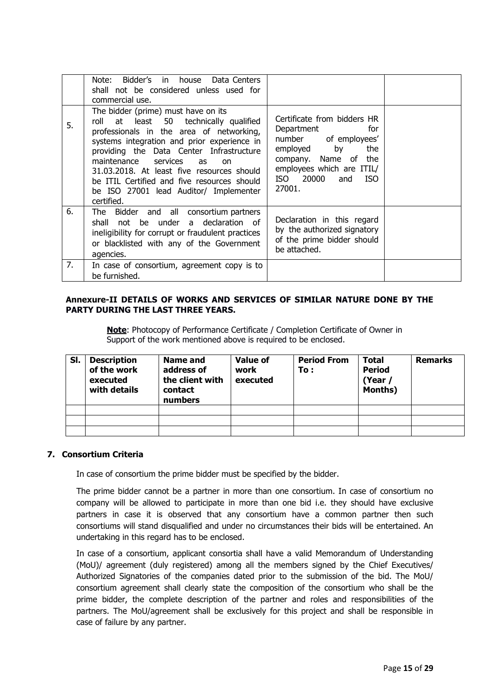|    | Bidder's in house Data Centers<br>Note:<br>shall not be considered unless used for<br>commercial use.                                                                                                                                                                                                                                                                                                                       |                                                                                                                                                                                              |  |
|----|-----------------------------------------------------------------------------------------------------------------------------------------------------------------------------------------------------------------------------------------------------------------------------------------------------------------------------------------------------------------------------------------------------------------------------|----------------------------------------------------------------------------------------------------------------------------------------------------------------------------------------------|--|
| 5. | The bidder (prime) must have on its<br>least 50 technically qualified<br>roll at<br>professionals in the area of networking,<br>systems integration and prior experience in<br>providing the Data Center Infrastructure<br>maintenance services<br>as<br><sub>on</sub><br>31.03.2018. At least five resources should<br>be ITIL Certified and five resources should<br>be ISO 27001 lead Auditor/ Implementer<br>certified. | Certificate from bidders HR<br>Department<br>for<br>number of employees'<br>by<br>the<br>employed<br>company. Name of the<br>employees which are ITIL/<br>ISO 20000<br>ISO.<br>and<br>27001. |  |
| 6. | The Bidder and all consortium partners<br>shall not be under a declaration of<br>ineligibility for corrupt or fraudulent practices<br>or blacklisted with any of the Government<br>agencies.                                                                                                                                                                                                                                | Declaration in this regard<br>by the authorized signatory<br>of the prime bidder should<br>be attached.                                                                                      |  |
| 7. | In case of consortium, agreement copy is to<br>be furnished.                                                                                                                                                                                                                                                                                                                                                                |                                                                                                                                                                                              |  |

#### **Annexure-II DETAILS OF WORKS AND SERVICES OF SIMILAR NATURE DONE BY THE PARTY DURING THE LAST THREE YEARS.**

**Note**: Photocopy of Performance Certificate / Completion Certificate of Owner in Support of the work mentioned above is required to be enclosed.

| SI. | <b>Description</b><br>of the work<br>executed<br>with details | Name and<br>address of<br>the client with<br>contact<br>numbers | <b>Value of</b><br>work<br>executed | <b>Period From</b><br>To : | <b>Total</b><br><b>Period</b><br>(Year /<br>Months) | <b>Remarks</b> |
|-----|---------------------------------------------------------------|-----------------------------------------------------------------|-------------------------------------|----------------------------|-----------------------------------------------------|----------------|
|     |                                                               |                                                                 |                                     |                            |                                                     |                |
|     |                                                               |                                                                 |                                     |                            |                                                     |                |
|     |                                                               |                                                                 |                                     |                            |                                                     |                |

#### **7. Consortium Criteria**

In case of consortium the prime bidder must be specified by the bidder.

The prime bidder cannot be a partner in more than one consortium. In case of consortium no company will be allowed to participate in more than one bid i.e. they should have exclusive partners in case it is observed that any consortium have a common partner then such consortiums will stand disqualified and under no circumstances their bids will be entertained. An undertaking in this regard has to be enclosed.

In case of a consortium, applicant consortia shall have a valid Memorandum of Understanding (MoU)/ agreement (duly registered) among all the members signed by the Chief Executives/ Authorized Signatories of the companies dated prior to the submission of the bid. The MoU/ consortium agreement shall clearly state the composition of the consortium who shall be the prime bidder, the complete description of the partner and roles and responsibilities of the partners. The MoU/agreement shall be exclusively for this project and shall be responsible in case of failure by any partner.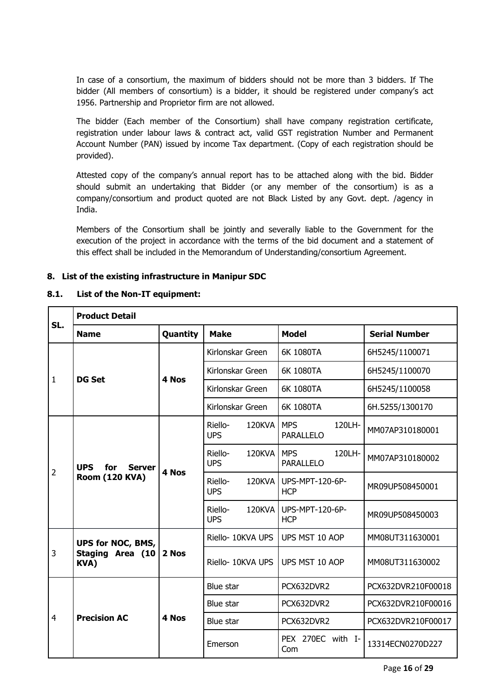In case of a consortium, the maximum of bidders should not be more than 3 bidders. If The bidder (All members of consortium) is a bidder, it should be registered under company's act 1956. Partnership and Proprietor firm are not allowed.

The bidder (Each member of the Consortium) shall have company registration certificate, registration under labour laws & contract act, valid GST registration Number and Permanent Account Number (PAN) issued by income Tax department. (Copy of each registration should be provided).

Attested copy of the company's annual report has to be attached along with the bid. Bidder should submit an undertaking that Bidder (or any member of the consortium) is as a company/consortium and product quoted are not Black Listed by any Govt. dept. /agency in India.

Members of the Consortium shall be jointly and severally liable to the Government for the execution of the project in accordance with the terms of the bid document and a statement of this effect shall be included in the Memorandum of Understanding/consortium Agreement.

#### **8. List of the existing infrastructure in Manipur SDC**

#### **8.1. List of the Non-IT equipment:**

| SL.            | <b>Product Detail</b>                                       |          |                                 |                                          |                      |  |  |
|----------------|-------------------------------------------------------------|----------|---------------------------------|------------------------------------------|----------------------|--|--|
|                | <b>Name</b>                                                 | Quantity | <b>Make</b>                     | <b>Model</b>                             | <b>Serial Number</b> |  |  |
|                |                                                             |          | Kirlonskar Green                | 6K 1080TA                                | 6H5245/1100071       |  |  |
| 1              | <b>DG Set</b>                                               | 4 Nos    | Kirlonskar Green                | 6K 1080TA                                | 6H5245/1100070       |  |  |
|                |                                                             |          | Kirlonskar Green                | 6K 1080TA                                | 6H5245/1100058       |  |  |
|                |                                                             |          | Kirlonskar Green                | 6K 1080TA                                | 6H.5255/1300170      |  |  |
|                |                                                             |          | Riello-<br>120KVA<br><b>UPS</b> | 120LH-<br><b>MPS</b><br><b>PARALLELO</b> | MM07AP310180001      |  |  |
| $\overline{2}$ | <b>UPS</b><br>for<br><b>Server</b><br><b>Room (120 KVA)</b> | 4 Nos    | Riello-<br>120KVA<br><b>UPS</b> | 120LH-<br><b>MPS</b><br><b>PARALLELO</b> | MM07AP310180002      |  |  |
|                |                                                             |          | Riello-<br>120KVA<br><b>UPS</b> | UPS-MPT-120-6P-<br><b>HCP</b>            | MR09UP508450001      |  |  |
|                |                                                             |          | Riello-<br>120KVA<br><b>UPS</b> | UPS-MPT-120-6P-<br><b>HCP</b>            | MR09UP508450003      |  |  |
|                | <b>UPS for NOC, BMS,</b>                                    | 2 Nos    | Riello- 10KVA UPS               | UPS MST 10 AOP                           | MM08UT311630001      |  |  |
| 3              | <b>Staging Area (10</b><br><b>KVA)</b>                      |          | Riello- 10KVA UPS               | UPS MST 10 AOP                           | MM08UT311630002      |  |  |
|                |                                                             |          | Blue star                       | PCX632DVR2                               | PCX632DVR210F00018   |  |  |
|                |                                                             |          | Blue star                       | PCX632DVR2                               | PCX632DVR210F00016   |  |  |
| $\overline{4}$ | <b>Precision AC</b>                                         | 4 Nos    | Blue star                       | PCX632DVR2                               | PCX632DVR210F00017   |  |  |
|                |                                                             |          | Emerson                         | PEX 270EC with I-<br>Com                 | 13314ECN0270D227     |  |  |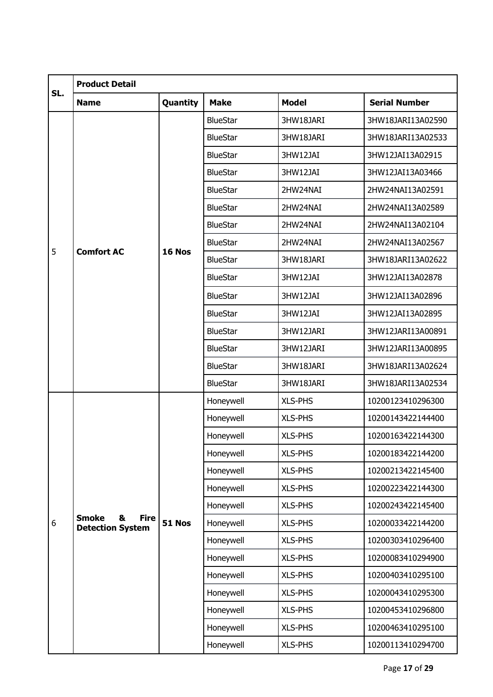|     | <b>Product Detail</b>                                       |               |                 |                |                      |  |  |
|-----|-------------------------------------------------------------|---------------|-----------------|----------------|----------------------|--|--|
| SL. | <b>Name</b>                                                 | Quantity      | <b>Make</b>     | <b>Model</b>   | <b>Serial Number</b> |  |  |
|     |                                                             |               | <b>BlueStar</b> | 3HW18JARI      | 3HW18JARI13A02590    |  |  |
|     |                                                             |               | <b>BlueStar</b> | 3HW18JARI      | 3HW18JARI13A02533    |  |  |
|     |                                                             |               | <b>BlueStar</b> | 3HW12JAI       | 3HW12JAI13A02915     |  |  |
|     |                                                             |               | <b>BlueStar</b> | 3HW12JAI       | 3HW12JAI13A03466     |  |  |
|     |                                                             |               | <b>BlueStar</b> | 2HW24NAI       | 2HW24NAI13A02591     |  |  |
|     |                                                             |               | <b>BlueStar</b> | 2HW24NAI       | 2HW24NAI13A02589     |  |  |
|     |                                                             |               | <b>BlueStar</b> | 2HW24NAI       | 2HW24NAI13A02104     |  |  |
| 5   | <b>Comfort AC</b>                                           | 16 Nos        | <b>BlueStar</b> | 2HW24NAI       | 2HW24NAI13A02567     |  |  |
|     |                                                             |               | <b>BlueStar</b> | 3HW18JARI      | 3HW18JARI13A02622    |  |  |
|     |                                                             |               | <b>BlueStar</b> | 3HW12JAI       | 3HW12JAI13A02878     |  |  |
|     |                                                             |               | <b>BlueStar</b> | 3HW12JAI       | 3HW12JAI13A02896     |  |  |
|     |                                                             |               | <b>BlueStar</b> | 3HW12JAI       | 3HW12JAI13A02895     |  |  |
|     |                                                             |               | <b>BlueStar</b> | 3HW12JARI      | 3HW12JARI13A00891    |  |  |
|     |                                                             |               | <b>BlueStar</b> | 3HW12JARI      | 3HW12JARI13A00895    |  |  |
|     |                                                             |               | <b>BlueStar</b> | 3HW18JARI      | 3HW18JARI13A02624    |  |  |
|     |                                                             |               | <b>BlueStar</b> | 3HW18JARI      | 3HW18JARI13A02534    |  |  |
|     |                                                             |               | Honeywell       | <b>XLS-PHS</b> | 10200123410296300    |  |  |
|     |                                                             |               | Honeywell       | <b>XLS-PHS</b> | 10200143422144400    |  |  |
|     |                                                             |               | Honeywell       | <b>XLS-PHS</b> | 10200163422144300    |  |  |
|     |                                                             |               | Honeywell       | XLS-PHS        | 10200183422144200    |  |  |
|     |                                                             |               | Honeywell       | <b>XLS-PHS</b> | 10200213422145400    |  |  |
|     |                                                             |               | Honeywell       | <b>XLS-PHS</b> | 10200223422144300    |  |  |
|     |                                                             |               | Honeywell       | <b>XLS-PHS</b> | 10200243422145400    |  |  |
| 6   | <b>Smoke</b><br><b>Fire</b><br>8<br><b>Detection System</b> | <b>51 Nos</b> | Honeywell       | <b>XLS-PHS</b> | 10200033422144200    |  |  |
|     |                                                             |               | Honeywell       | <b>XLS-PHS</b> | 10200303410296400    |  |  |
|     |                                                             |               | Honeywell       | <b>XLS-PHS</b> | 10200083410294900    |  |  |
|     |                                                             |               | Honeywell       | <b>XLS-PHS</b> | 10200403410295100    |  |  |
|     |                                                             |               | Honeywell       | XLS-PHS        | 10200043410295300    |  |  |
|     |                                                             |               | Honeywell       | <b>XLS-PHS</b> | 10200453410296800    |  |  |
|     |                                                             |               | Honeywell       | XLS-PHS        | 10200463410295100    |  |  |
|     |                                                             |               | Honeywell       | XLS-PHS        | 10200113410294700    |  |  |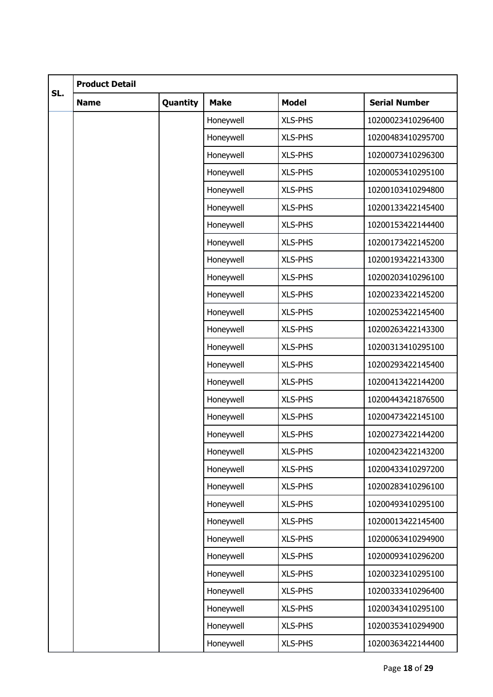|     | <b>Product Detail</b> |          |             |                |                      |  |  |
|-----|-----------------------|----------|-------------|----------------|----------------------|--|--|
| SL. | <b>Name</b>           | Quantity | <b>Make</b> | <b>Model</b>   | <b>Serial Number</b> |  |  |
|     |                       |          | Honeywell   | <b>XLS-PHS</b> | 10200023410296400    |  |  |
|     |                       |          | Honeywell   | <b>XLS-PHS</b> | 10200483410295700    |  |  |
|     |                       |          | Honeywell   | <b>XLS-PHS</b> | 10200073410296300    |  |  |
|     |                       |          | Honeywell   | <b>XLS-PHS</b> | 10200053410295100    |  |  |
|     |                       |          | Honeywell   | <b>XLS-PHS</b> | 10200103410294800    |  |  |
|     |                       |          | Honeywell   | <b>XLS-PHS</b> | 10200133422145400    |  |  |
|     |                       |          | Honeywell   | <b>XLS-PHS</b> | 10200153422144400    |  |  |
|     |                       |          | Honeywell   | <b>XLS-PHS</b> | 10200173422145200    |  |  |
|     |                       |          | Honeywell   | XLS-PHS        | 10200193422143300    |  |  |
|     |                       |          | Honeywell   | <b>XLS-PHS</b> | 10200203410296100    |  |  |
|     |                       |          | Honeywell   | <b>XLS-PHS</b> | 10200233422145200    |  |  |
|     |                       |          | Honeywell   | <b>XLS-PHS</b> | 10200253422145400    |  |  |
|     |                       |          | Honeywell   | XLS-PHS        | 10200263422143300    |  |  |
|     |                       |          | Honeywell   | <b>XLS-PHS</b> | 10200313410295100    |  |  |
|     |                       |          | Honeywell   | <b>XLS-PHS</b> | 10200293422145400    |  |  |
|     |                       |          | Honeywell   | <b>XLS-PHS</b> | 10200413422144200    |  |  |
|     |                       |          | Honeywell   | XLS-PHS        | 10200443421876500    |  |  |
|     |                       |          | Honeywell   | <b>XLS-PHS</b> | 10200473422145100    |  |  |
|     |                       |          | Honeywell   | <b>XLS-PHS</b> | 10200273422144200    |  |  |
|     |                       |          | Honeywell   | <b>XLS-PHS</b> | 10200423422143200    |  |  |
|     |                       |          | Honeywell   | <b>XLS-PHS</b> | 10200433410297200    |  |  |
|     |                       |          | Honeywell   | <b>XLS-PHS</b> | 10200283410296100    |  |  |
|     |                       |          | Honeywell   | <b>XLS-PHS</b> | 10200493410295100    |  |  |
|     |                       |          | Honeywell   | <b>XLS-PHS</b> | 10200013422145400    |  |  |
|     |                       |          | Honeywell   | <b>XLS-PHS</b> | 10200063410294900    |  |  |
|     |                       |          | Honeywell   | <b>XLS-PHS</b> | 10200093410296200    |  |  |
|     |                       |          | Honeywell   | <b>XLS-PHS</b> | 10200323410295100    |  |  |
|     |                       |          | Honeywell   | <b>XLS-PHS</b> | 10200333410296400    |  |  |
|     |                       |          | Honeywell   | <b>XLS-PHS</b> | 10200343410295100    |  |  |
|     |                       |          | Honeywell   | <b>XLS-PHS</b> | 10200353410294900    |  |  |
|     |                       |          | Honeywell   | XLS-PHS        | 10200363422144400    |  |  |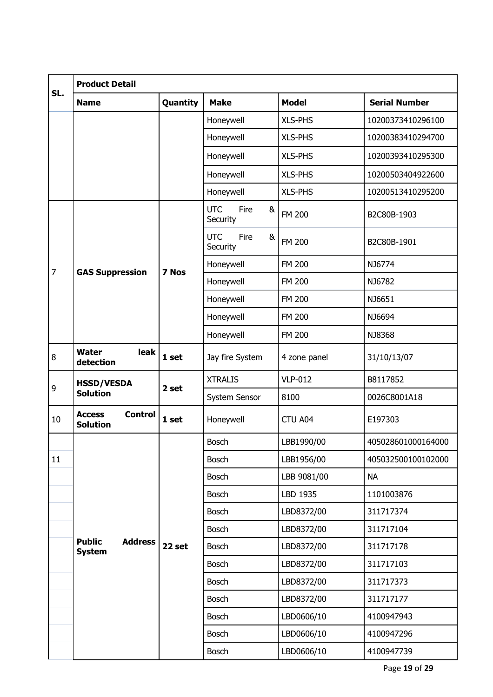|                | <b>Product Detail</b>                              |          |                                     |                |                      |  |  |
|----------------|----------------------------------------------------|----------|-------------------------------------|----------------|----------------------|--|--|
| SL.            | <b>Name</b>                                        | Quantity | <b>Make</b>                         | <b>Model</b>   | <b>Serial Number</b> |  |  |
|                |                                                    |          | Honeywell                           | <b>XLS-PHS</b> | 10200373410296100    |  |  |
|                |                                                    |          | Honeywell                           | <b>XLS-PHS</b> | 10200383410294700    |  |  |
|                |                                                    |          | Honeywell                           | <b>XLS-PHS</b> | 10200393410295300    |  |  |
|                |                                                    |          | Honeywell                           | <b>XLS-PHS</b> | 10200503404922600    |  |  |
|                |                                                    |          | Honeywell                           | XLS-PHS        | 10200513410295200    |  |  |
|                |                                                    |          | <b>UTC</b><br>&<br>Fire<br>Security | <b>FM 200</b>  | B2C80B-1903          |  |  |
|                |                                                    |          | <b>UTC</b><br>Fire<br>&<br>Security | <b>FM 200</b>  | B2C80B-1901          |  |  |
| $\overline{7}$ | <b>GAS Suppression</b>                             | 7 Nos    | Honeywell                           | <b>FM 200</b>  | NJ6774               |  |  |
|                |                                                    |          | Honeywell                           | <b>FM 200</b>  | NJ6782               |  |  |
|                |                                                    |          | Honeywell                           | <b>FM 200</b>  | NJ6651               |  |  |
|                |                                                    |          | Honeywell                           | <b>FM 200</b>  | NJ6694               |  |  |
|                |                                                    |          | Honeywell                           | <b>FM 200</b>  | NJ8368               |  |  |
| 8              | leak<br><b>Water</b><br>detection                  | 1 set    | Jay fire System                     | 4 zone panel   | 31/10/13/07          |  |  |
| 9              | <b>HSSD/VESDA</b>                                  | 2 set    | <b>XTRALIS</b>                      | <b>VLP-012</b> | B8117852             |  |  |
|                | <b>Solution</b>                                    |          | System Sensor                       | 8100           | 0026C8001A18         |  |  |
| 10             | <b>Access</b><br><b>Control</b><br><b>Solution</b> | 1 set    | Honeywell                           | CTU A04        | E197303              |  |  |
|                |                                                    |          | <b>Bosch</b>                        | LBB1990/00     | 405028601000164000   |  |  |
| 11             |                                                    |          | <b>Bosch</b>                        | LBB1956/00     | 405032500100102000   |  |  |
|                |                                                    |          | <b>Bosch</b>                        | LBB 9081/00    | <b>NA</b>            |  |  |
|                |                                                    |          | <b>Bosch</b>                        | LBD 1935       | 1101003876           |  |  |
|                |                                                    |          | <b>Bosch</b>                        | LBD8372/00     | 311717374            |  |  |
|                |                                                    |          | <b>Bosch</b>                        | LBD8372/00     | 311717104            |  |  |
|                | <b>Public</b><br><b>Address</b><br><b>System</b>   | 22 set   | <b>Bosch</b>                        | LBD8372/00     | 311717178            |  |  |
|                |                                                    |          | Bosch                               | LBD8372/00     | 311717103            |  |  |
|                |                                                    |          | <b>Bosch</b>                        | LBD8372/00     | 311717373            |  |  |
|                |                                                    |          | <b>Bosch</b>                        | LBD8372/00     | 311717177            |  |  |
|                |                                                    |          | <b>Bosch</b>                        | LBD0606/10     | 4100947943           |  |  |
|                |                                                    |          | <b>Bosch</b>                        | LBD0606/10     | 4100947296           |  |  |
|                |                                                    |          | Bosch                               | LBD0606/10     | 4100947739           |  |  |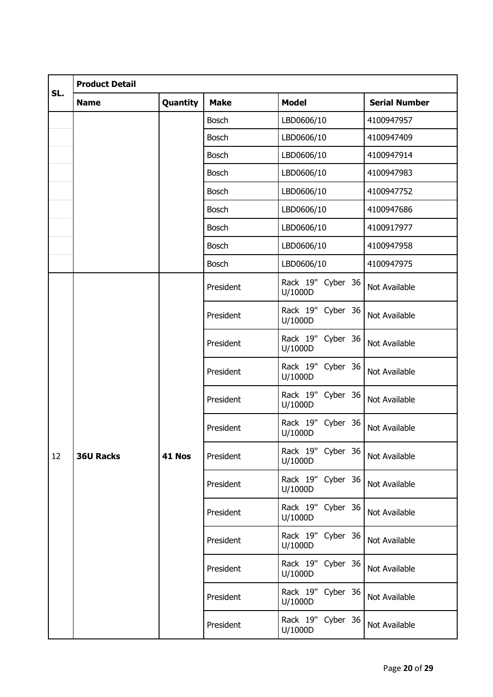|     | <b>Product Detail</b> |               |              |                              |                      |  |  |  |
|-----|-----------------------|---------------|--------------|------------------------------|----------------------|--|--|--|
| SL. | <b>Name</b>           | Quantity      | <b>Make</b>  | <b>Model</b>                 | <b>Serial Number</b> |  |  |  |
|     |                       |               | <b>Bosch</b> | LBD0606/10                   | 4100947957           |  |  |  |
|     |                       |               | <b>Bosch</b> | LBD0606/10                   | 4100947409           |  |  |  |
|     |                       |               | <b>Bosch</b> | LBD0606/10                   | 4100947914           |  |  |  |
|     |                       |               | <b>Bosch</b> | LBD0606/10                   | 4100947983           |  |  |  |
|     |                       |               | <b>Bosch</b> | LBD0606/10                   | 4100947752           |  |  |  |
|     |                       |               | <b>Bosch</b> | LBD0606/10                   | 4100947686           |  |  |  |
|     |                       |               | <b>Bosch</b> | LBD0606/10                   | 4100917977           |  |  |  |
|     |                       |               | <b>Bosch</b> | LBD0606/10                   | 4100947958           |  |  |  |
|     |                       |               | <b>Bosch</b> | LBD0606/10                   | 4100947975           |  |  |  |
|     |                       |               | President    | Rack 19" Cyber 36<br>U/1000D | Not Available        |  |  |  |
|     |                       |               | President    | Rack 19" Cyber 36<br>U/1000D | Not Available        |  |  |  |
|     |                       |               | President    | Rack 19" Cyber 36<br>U/1000D | Not Available        |  |  |  |
|     |                       |               | President    | Rack 19" Cyber 36<br>U/1000D | Not Available        |  |  |  |
|     |                       |               | President    | Rack 19" Cyber 36<br>U/1000D | Not Available        |  |  |  |
|     |                       |               | President    | Rack 19" Cyber 36<br>U/1000D | Not Available        |  |  |  |
| 12  | <b>36U Racks</b>      | <b>41 Nos</b> | President    | Rack 19" Cyber 36<br>U/1000D | Not Available        |  |  |  |
|     |                       |               | President    | Rack 19" Cyber 36<br>U/1000D | Not Available        |  |  |  |
|     |                       |               | President    | Rack 19" Cyber 36<br>U/1000D | Not Available        |  |  |  |
|     |                       |               | President    | Rack 19" Cyber 36<br>U/1000D | Not Available        |  |  |  |
|     |                       |               | President    | Rack 19" Cyber 36<br>U/1000D | Not Available        |  |  |  |
|     |                       |               | President    | Rack 19" Cyber 36<br>U/1000D | Not Available        |  |  |  |
|     |                       |               | President    | Rack 19" Cyber 36<br>U/1000D | Not Available        |  |  |  |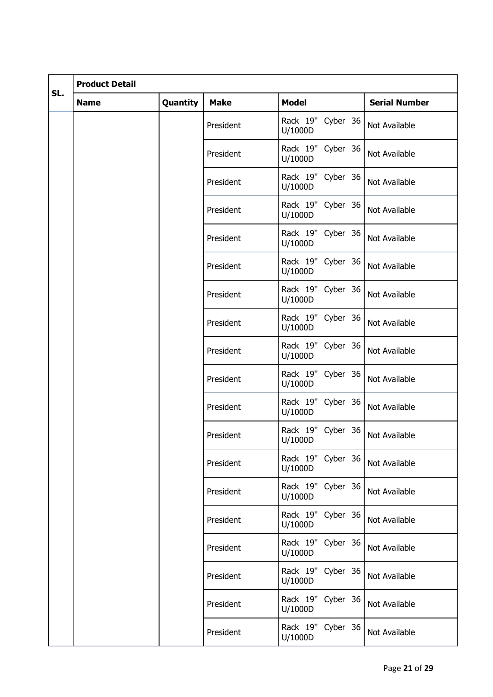|     | <b>Product Detail</b> |          |             |                              |                      |  |  |
|-----|-----------------------|----------|-------------|------------------------------|----------------------|--|--|
| SL. | <b>Name</b>           | Quantity | <b>Make</b> | <b>Model</b>                 | <b>Serial Number</b> |  |  |
|     |                       |          | President   | Rack 19" Cyber 36<br>U/1000D | Not Available        |  |  |
|     |                       |          | President   | Rack 19" Cyber 36<br>U/1000D | Not Available        |  |  |
|     |                       |          | President   | Rack 19" Cyber 36<br>U/1000D | Not Available        |  |  |
|     |                       |          | President   | Rack 19" Cyber 36<br>U/1000D | Not Available        |  |  |
|     |                       |          | President   | Rack 19" Cyber 36<br>U/1000D | Not Available        |  |  |
|     |                       |          | President   | Rack 19" Cyber 36<br>U/1000D | Not Available        |  |  |
|     |                       |          | President   | Rack 19" Cyber 36<br>U/1000D | Not Available        |  |  |
|     |                       |          | President   | Rack 19" Cyber 36<br>U/1000D | Not Available        |  |  |
|     |                       |          | President   | Rack 19" Cyber 36<br>U/1000D | Not Available        |  |  |
|     |                       |          | President   | Rack 19" Cyber 36<br>U/1000D | Not Available        |  |  |
|     |                       |          | President   | Rack 19" Cyber 36<br>U/1000D | Not Available        |  |  |
|     |                       |          | President   | Rack 19" Cyber 36<br>U/1000D | Not Available        |  |  |
|     |                       |          | President   | Rack 19" Cyber 36<br>U/1000D | Not Available        |  |  |
|     |                       |          | President   | Rack 19" Cyber 36<br>U/1000D | Not Available        |  |  |
|     |                       |          | President   | Rack 19" Cyber 36<br>U/1000D | Not Available        |  |  |
|     |                       |          | President   | Rack 19" Cyber 36<br>U/1000D | Not Available        |  |  |
|     |                       |          | President   | Rack 19" Cyber 36<br>U/1000D | Not Available        |  |  |
|     |                       |          | President   | Rack 19" Cyber 36<br>U/1000D | Not Available        |  |  |
|     |                       |          | President   | Rack 19" Cyber 36<br>U/1000D | Not Available        |  |  |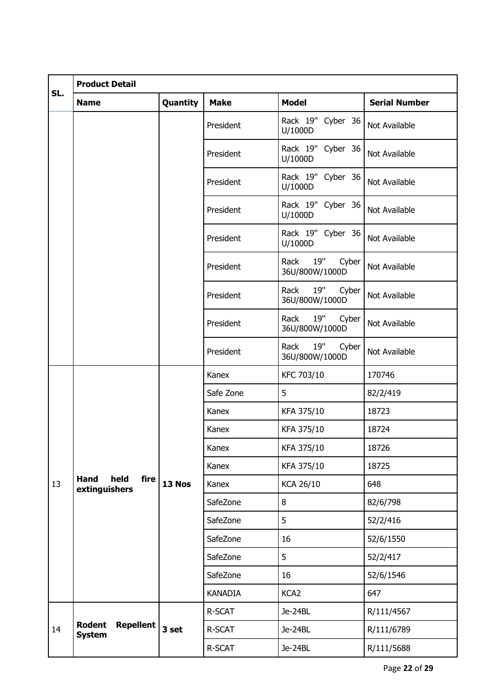|     | <b>Product Detail</b>                        |          |                |                                        |                      |  |  |
|-----|----------------------------------------------|----------|----------------|----------------------------------------|----------------------|--|--|
| SL. | <b>Name</b>                                  | Quantity | <b>Make</b>    | <b>Model</b>                           | <b>Serial Number</b> |  |  |
|     |                                              |          | President      | Rack 19" Cyber 36<br>U/1000D           | Not Available        |  |  |
|     |                                              |          | President      | Rack 19" Cyber 36<br>U/1000D           | Not Available        |  |  |
|     |                                              |          | President      | Rack 19" Cyber 36<br>U/1000D           | Not Available        |  |  |
|     |                                              |          | President      | Rack 19" Cyber 36<br>U/1000D           | Not Available        |  |  |
|     |                                              |          | President      | Rack 19" Cyber 36<br>U/1000D           | Not Available        |  |  |
|     |                                              |          | President      | Rack 19"<br>Cyber<br>36U/800W/1000D    | Not Available        |  |  |
|     |                                              |          | President      | 19"<br>Rack<br>Cyber<br>36U/800W/1000D | Not Available        |  |  |
|     |                                              |          | President      | 19"<br>Rack<br>Cyber<br>36U/800W/1000D | Not Available        |  |  |
|     |                                              |          | President      | 19"<br>Rack<br>Cyber<br>36U/800W/1000D | Not Available        |  |  |
|     |                                              |          | Kanex          | KFC 703/10                             | 170746               |  |  |
|     |                                              |          | Safe Zone      | 5                                      | 82/2/419             |  |  |
|     |                                              |          | Kanex          | KFA 375/10                             | 18723                |  |  |
|     |                                              |          | Kanex          | KFA 375/10                             | 18724                |  |  |
|     |                                              |          | Kanex          | KFA 375/10                             | 18726                |  |  |
|     |                                              |          | Kanex          | KFA 375/10                             | 18725                |  |  |
| 13  | held<br><b>Hand</b><br>fire<br>extinguishers | 13 Nos   | Kanex          | <b>KCA 26/10</b>                       | 648                  |  |  |
|     |                                              |          | SafeZone       | 8                                      | 82/6/798             |  |  |
|     |                                              |          | SafeZone       | 5                                      | 52/2/416             |  |  |
|     |                                              |          | SafeZone       | 16                                     | 52/6/1550            |  |  |
|     |                                              |          | SafeZone       | 5                                      | 52/2/417             |  |  |
|     |                                              |          | SafeZone       | 16                                     | 52/6/1546            |  |  |
|     |                                              |          | <b>KANADIA</b> | KCA <sub>2</sub>                       | 647                  |  |  |
|     |                                              |          | R-SCAT         | Je-24BL                                | R/111/4567           |  |  |
| 14  | Rodent<br><b>Repellent</b><br><b>System</b>  | 3 set    | R-SCAT         | Je-24BL                                | R/111/6789           |  |  |
|     |                                              |          | R-SCAT         | Je-24BL                                | R/111/5688           |  |  |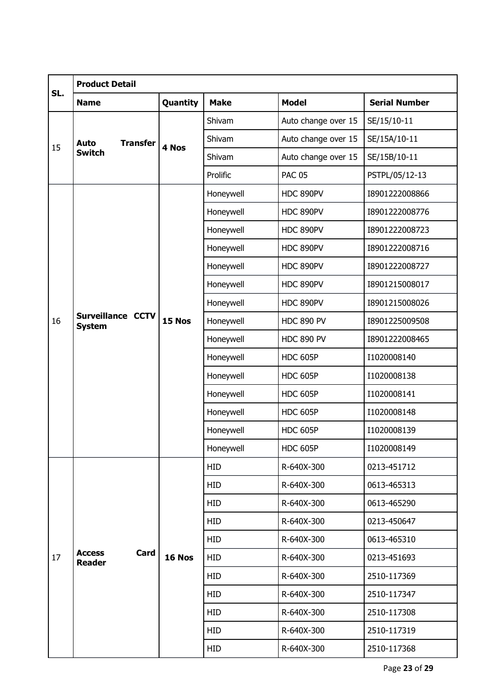|     | <b>Product Detail</b>                  |          |             |                     |                      |  |  |  |
|-----|----------------------------------------|----------|-------------|---------------------|----------------------|--|--|--|
| SL. | <b>Name</b>                            | Quantity | <b>Make</b> | <b>Model</b>        | <b>Serial Number</b> |  |  |  |
| 15  |                                        |          | Shivam      | Auto change over 15 | SE/15/10-11          |  |  |  |
|     | <b>Transfer</b><br>Auto                | 4 Nos    | Shivam      | Auto change over 15 | SE/15A/10-11         |  |  |  |
|     | <b>Switch</b>                          |          | Shivam      | Auto change over 15 | SE/15B/10-11         |  |  |  |
|     |                                        |          | Prolific    | <b>PAC 05</b>       | PSTPL/05/12-13       |  |  |  |
|     |                                        |          | Honeywell   | HDC 890PV           | I8901222008866       |  |  |  |
|     |                                        |          | Honeywell   | HDC 890PV           | I8901222008776       |  |  |  |
|     |                                        |          | Honeywell   | HDC 890PV           | I8901222008723       |  |  |  |
|     |                                        |          | Honeywell   | HDC 890PV           | I8901222008716       |  |  |  |
|     |                                        |          | Honeywell   | HDC 890PV           | I8901222008727       |  |  |  |
|     |                                        |          | Honeywell   | HDC 890PV           | I8901215008017       |  |  |  |
|     |                                        | 15 Nos   | Honeywell   | HDC 890PV           | I8901215008026       |  |  |  |
| 16  | Surveillance CCTV<br><b>System</b>     |          | Honeywell   | <b>HDC 890 PV</b>   | I8901225009508       |  |  |  |
|     |                                        |          | Honeywell   | <b>HDC 890 PV</b>   | I8901222008465       |  |  |  |
|     |                                        |          | Honeywell   | <b>HDC 605P</b>     | I1020008140          |  |  |  |
|     |                                        |          | Honeywell   | <b>HDC 605P</b>     | I1020008138          |  |  |  |
|     |                                        |          | Honeywell   | <b>HDC 605P</b>     | I1020008141          |  |  |  |
|     |                                        |          | Honeywell   | <b>HDC 605P</b>     | I1020008148          |  |  |  |
|     |                                        |          | Honeywell   | <b>HDC 605P</b>     | I1020008139          |  |  |  |
|     |                                        |          | Honeywell   | <b>HDC 605P</b>     | I1020008149          |  |  |  |
|     |                                        |          | <b>HID</b>  | R-640X-300          | 0213-451712          |  |  |  |
|     |                                        |          | <b>HID</b>  | R-640X-300          | 0613-465313          |  |  |  |
|     |                                        |          | <b>HID</b>  | R-640X-300          | 0613-465290          |  |  |  |
|     |                                        |          | <b>HID</b>  | R-640X-300          | 0213-450647          |  |  |  |
|     |                                        |          | <b>HID</b>  | R-640X-300          | 0613-465310          |  |  |  |
| 17  | Card<br><b>Access</b><br><b>Reader</b> | 16 Nos   | <b>HID</b>  | R-640X-300          | 0213-451693          |  |  |  |
|     |                                        |          | <b>HID</b>  | R-640X-300          | 2510-117369          |  |  |  |
|     |                                        |          | <b>HID</b>  | R-640X-300          | 2510-117347          |  |  |  |
|     |                                        |          | <b>HID</b>  | R-640X-300          | 2510-117308          |  |  |  |
|     |                                        |          | <b>HID</b>  | R-640X-300          | 2510-117319          |  |  |  |
|     |                                        |          | <b>HID</b>  | R-640X-300          | 2510-117368          |  |  |  |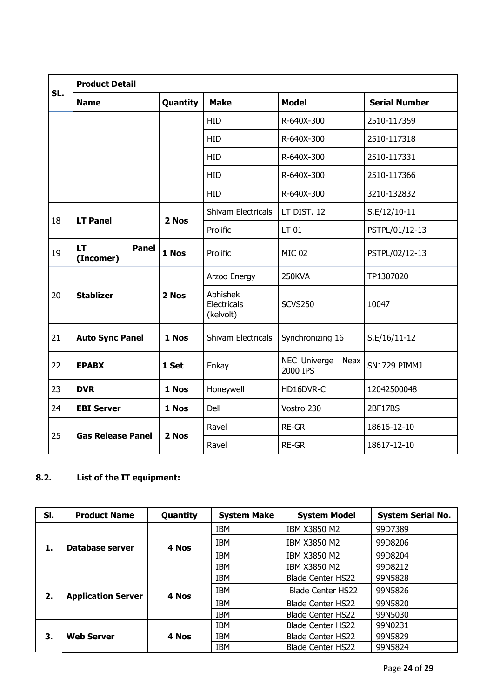| SL. | <b>Product Detail</b>                  |          |                                      |                                  |                      |  |  |  |
|-----|----------------------------------------|----------|--------------------------------------|----------------------------------|----------------------|--|--|--|
|     | <b>Name</b>                            | Quantity | <b>Make</b>                          | <b>Model</b>                     | <b>Serial Number</b> |  |  |  |
|     |                                        |          | <b>HID</b>                           | R-640X-300                       | 2510-117359          |  |  |  |
|     |                                        |          | <b>HID</b>                           | R-640X-300                       | 2510-117318          |  |  |  |
|     |                                        |          | <b>HID</b>                           | R-640X-300                       | 2510-117331          |  |  |  |
|     |                                        |          | <b>HID</b>                           | R-640X-300                       | 2510-117366          |  |  |  |
|     |                                        |          | <b>HID</b>                           | R-640X-300                       | 3210-132832          |  |  |  |
| 18  | <b>LT Panel</b>                        | 2 Nos    | Shivam Electricals                   | LT DIST. 12                      | S.E/12/10-11         |  |  |  |
|     |                                        |          | Prolific                             | LT 01                            | PSTPL/01/12-13       |  |  |  |
| 19  | <b>LT</b><br><b>Panel</b><br>(Incomer) | 1 Nos    | Prolific                             | <b>MIC 02</b>                    | PSTPL/02/12-13       |  |  |  |
|     |                                        |          | Arzoo Energy                         | <b>250KVA</b>                    | TP1307020            |  |  |  |
| 20  | <b>Stablizer</b>                       | 2 Nos    | Abhishek<br>Electricals<br>(kelvolt) | <b>SCVS250</b>                   | 10047                |  |  |  |
| 21  | <b>Auto Sync Panel</b>                 | 1 Nos    | Shivam Electricals                   | Synchronizing 16                 | S.E/16/11-12         |  |  |  |
| 22  | <b>EPABX</b>                           | 1 Set    | Enkay                                | NEC Univerge<br>Neax<br>2000 IPS | SN1729 PIMMJ         |  |  |  |
| 23  | <b>DVR</b>                             | 1 Nos    | Honeywell                            | HD16DVR-C                        | 12042500048          |  |  |  |
| 24  | <b>EBI Server</b>                      | 1 Nos    | Dell                                 | Vostro 230                       | <b>2BF17BS</b>       |  |  |  |
|     |                                        |          | Ravel                                | <b>RE-GR</b>                     | 18616-12-10          |  |  |  |
| 25  | <b>Gas Release Panel</b>               | 2 Nos    | Ravel                                | <b>RE-GR</b>                     | 18617-12-10          |  |  |  |

## **8.2. List of the IT equipment:**

| SI. | <b>Product Name</b>       | Quantity | <b>System Make</b> | <b>System Model</b>      | <b>System Serial No.</b> |
|-----|---------------------------|----------|--------------------|--------------------------|--------------------------|
| 1.  |                           |          | <b>IBM</b>         | IBM X3850 M2             | 99D7389                  |
|     | Database server           | 4 Nos    | <b>IBM</b>         | IBM X3850 M2             | 99D8206                  |
|     |                           |          | <b>IBM</b>         | IBM X3850 M2             | 99D8204                  |
|     |                           |          | <b>IBM</b>         | IBM X3850 M2             | 99D8212                  |
|     | <b>Application Server</b> | 4 Nos    | <b>IBM</b>         | <b>Blade Center HS22</b> | 99N5828                  |
| 2.  |                           |          | <b>IBM</b>         | <b>Blade Center HS22</b> | 99N5826                  |
|     |                           |          | <b>IBM</b>         | <b>Blade Center HS22</b> | 99N5820                  |
|     |                           |          | <b>IBM</b>         | <b>Blade Center HS22</b> | 99N5030                  |
|     | <b>Web Server</b>         | 4 Nos    | <b>IBM</b>         | <b>Blade Center HS22</b> | 99N0231                  |
| З.  |                           |          | <b>IBM</b>         | <b>Blade Center HS22</b> | 99N5829                  |
|     |                           |          | <b>IBM</b>         | <b>Blade Center HS22</b> | 99N5824                  |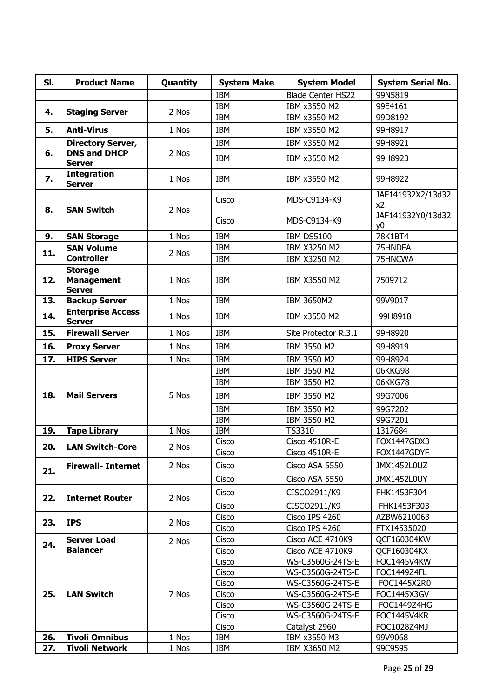| SI. | <b>Product Name</b>                                  | Quantity | <b>System Make</b> | <b>System Model</b>              | <b>System Serial No.</b>            |
|-----|------------------------------------------------------|----------|--------------------|----------------------------------|-------------------------------------|
|     |                                                      |          | <b>IBM</b>         | <b>Blade Center HS22</b>         | 99N5819                             |
| 4.  | <b>Staging Server</b>                                | 2 Nos    | IBM                | IBM x3550 M2                     | 99E4161                             |
|     |                                                      |          | <b>IBM</b>         | IBM x3550 M2                     | 99D8192                             |
| 5.  | <b>Anti-Virus</b>                                    | 1 Nos    | IBM                | IBM x3550 M2                     | 99H8917                             |
|     | <b>Directory Server,</b>                             |          | IBM                | IBM x3550 M2                     | 99H8921                             |
| 6.  | <b>DNS and DHCP</b><br><b>Server</b>                 | 2 Nos    | IBM                | IBM x3550 M2                     | 99H8923                             |
| 7.  | <b>Integration</b><br><b>Server</b>                  | 1 Nos    | IBM                | IBM x3550 M2                     | 99H8922                             |
| 8.  | <b>SAN Switch</b>                                    | 2 Nos    | Cisco              | MDS-C9134-K9                     | JAF141932X2/13d32<br>x <sub>2</sub> |
|     |                                                      |          | Cisco              | MDS-C9134-K9                     | JAF141932Y0/13d32<br>y <sub>0</sub> |
| 9.  | <b>SAN Storage</b>                                   | 1 Nos    | <b>IBM</b>         | <b>IBM DS5100</b>                | 78K1BT4                             |
| 11. | <b>SAN Volume</b>                                    | 2 Nos    | <b>IBM</b>         | IBM X3250 M2                     | 75HNDFA                             |
|     | <b>Controller</b>                                    |          | IBM                | IBM X3250 M2                     | 75HNCWA                             |
| 12. | <b>Storage</b><br><b>Management</b><br><b>Server</b> | 1 Nos    | <b>IBM</b>         | IBM X3550 M2                     | 7509712                             |
| 13. | <b>Backup Server</b>                                 | 1 Nos    | IBM                | IBM 3650M2                       | 99V9017                             |
| 14. | <b>Enterprise Access</b><br><b>Server</b>            | 1 Nos    | IBM                | IBM x3550 M2                     | 99H8918                             |
| 15. | <b>Firewall Server</b>                               | 1 Nos    | IBM                | Site Protector R.3.1             | 99H8920                             |
| 16. | <b>Proxy Server</b>                                  | 1 Nos    | IBM                | IBM 3550 M2                      | 99H8919                             |
| 17. | <b>HIPS Server</b>                                   | 1 Nos    | <b>IBM</b>         | IBM 3550 M2                      | 99H8924                             |
|     |                                                      |          | IBM                | IBM 3550 M2                      | 06KKG98                             |
|     |                                                      |          | IBM                | IBM 3550 M2                      | 06KKG78                             |
| 18. | <b>Mail Servers</b>                                  | 5 Nos    | <b>IBM</b>         | IBM 3550 M2                      | 99G7006                             |
|     |                                                      |          | <b>IBM</b>         | IBM 3550 M2                      | 99G7202                             |
|     |                                                      |          | IBM                | IBM 3550 M2                      | 99G7201                             |
| 19. | <b>Tape Library</b>                                  | 1 Nos    | IBM                | TS3310                           | 1317684                             |
| 20. | <b>LAN Switch-Core</b>                               | 2 Nos    | Cisco              | Cisco 4510R-E                    | FOX1447GDX3                         |
|     |                                                      |          | Cisco              | Cisco 4510R-E                    | FOX1447GDYF                         |
| 21. | <b>Firewall- Internet</b>                            | 2 Nos    | Cisco              | Cisco ASA 5550                   | JMX1452L0UZ                         |
|     |                                                      |          | Cisco              | Cisco ASA 5550                   | <b>JMX1452L0UY</b>                  |
| 22. | <b>Internet Router</b>                               | 2 Nos    | Cisco              | CISCO2911/K9                     | FHK1453F304                         |
|     |                                                      |          | Cisco              | CISCO2911/K9                     | FHK1453F303                         |
| 23. | <b>IPS</b>                                           | 2 Nos    | Cisco<br>Cisco     | Cisco IPS 4260<br>Cisco IPS 4260 | AZBW6210063<br>FTX14535020          |
|     | <b>Server Load</b>                                   | 2 Nos    | Cisco              | Cisco ACE 4710K9                 | QCF160304KW                         |
| 24. | <b>Balancer</b>                                      |          | Cisco              | Cisco ACE 4710K9                 | QCF160304KX                         |
|     |                                                      |          | Cisco              | WS-C3560G-24TS-E                 | FOC1445V4KW                         |
|     |                                                      |          | Cisco              | WS-C3560G-24TS-E                 | FOC1449Z4FL                         |
|     |                                                      |          | Cisco              | WS-C3560G-24TS-E                 | FOC1445X2R0                         |
| 25. | <b>LAN Switch</b>                                    | 7 Nos    | Cisco              | WS-C3560G-24TS-E                 | FOC1445X3GV                         |
|     |                                                      |          | Cisco              | WS-C3560G-24TS-E                 | <b>FOC1449Z4HG</b>                  |
|     |                                                      |          | Cisco              | WS-C3560G-24TS-E                 | <b>FOC1445V4KR</b>                  |
|     |                                                      |          | Cisco              | Catalyst 2960                    | FOC1028Z4MJ                         |
| 26. | <b>Tivoli Omnibus</b>                                | 1 Nos    | IBM                | IBM x3550 M3                     | 99V9068                             |
| 27. | <b>Tivoli Network</b>                                | 1 Nos    | IBM                | IBM X3650 M2                     | 99C9595                             |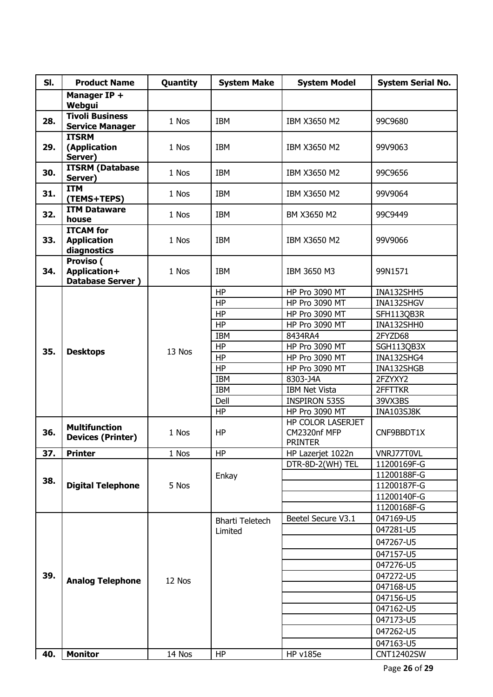| SI. | <b>Product Name</b>                    | Quantity | <b>System Make</b>     | <b>System Model</b>                           | <b>System Serial No.</b> |
|-----|----------------------------------------|----------|------------------------|-----------------------------------------------|--------------------------|
|     | Manager IP +                           |          |                        |                                               |                          |
|     | Webgui                                 |          |                        |                                               |                          |
| 28. | <b>Tivoli Business</b>                 | 1 Nos    | IBM                    | IBM X3650 M2                                  | 99C9680                  |
|     | <b>Service Manager</b><br><b>ITSRM</b> |          |                        |                                               |                          |
| 29. | (Application                           | 1 Nos    | <b>IBM</b>             | IBM X3650 M2                                  | 99V9063                  |
|     | Server)                                |          |                        |                                               |                          |
|     | <b>ITSRM (Database</b>                 |          |                        |                                               |                          |
| 30. | Server)                                | 1 Nos    | <b>IBM</b>             | IBM X3650 M2                                  | 99C9656                  |
| 31. | <b>ITM</b>                             | 1 Nos    | <b>IBM</b>             | IBM X3650 M2                                  | 99V9064                  |
|     | (TEMS+TEPS)                            |          |                        |                                               |                          |
| 32. | <b>ITM Dataware</b>                    | 1 Nos    | <b>IBM</b>             | BM X3650 M2                                   | 99C9449                  |
|     | house<br><b>ITCAM</b> for              |          |                        |                                               |                          |
| 33. | <b>Application</b>                     | 1 Nos    | <b>IBM</b>             | IBM X3650 M2                                  | 99V9066                  |
|     | diagnostics                            |          |                        |                                               |                          |
|     | Proviso (                              |          |                        |                                               |                          |
| 34. | Application+                           | 1 Nos    | <b>IBM</b>             | IBM 3650 M3                                   | 99N1571                  |
|     | <b>Database Server</b> )               |          |                        |                                               |                          |
|     |                                        |          | <b>HP</b>              | HP Pro 3090 MT                                | INA132SHH5               |
|     |                                        |          | <b>HP</b>              | HP Pro 3090 MT                                | INA132SHGV               |
|     |                                        |          | <b>HP</b>              | <b>HP Pro 3090 MT</b>                         | SFH113QB3R               |
|     | <b>Desktops</b>                        |          | HP                     | HP Pro 3090 MT                                | INA132SHH0               |
|     |                                        | 13 Nos   | <b>IBM</b>             | 8434RA4                                       | 2FYZD68                  |
| 35. |                                        |          | <b>HP</b>              | HP Pro 3090 MT                                | SGH113QB3X               |
|     |                                        |          | <b>HP</b>              | HP Pro 3090 MT                                | INA132SHG4               |
|     |                                        |          | HP                     | <b>HP Pro 3090 MT</b>                         | INA132SHGB               |
|     |                                        |          | <b>IBM</b>             | 8303-J4A                                      | 2FZYXY2                  |
|     |                                        |          | <b>IBM</b>             | <b>IBM Net Vista</b>                          | 2FFTTKR                  |
|     |                                        |          | Dell<br><b>HP</b>      | <b>INSPIRON 535S</b><br><b>HP Pro 3090 MT</b> | 39VX3BS                  |
|     |                                        |          |                        | HP COLOR LASERJET                             | <b>INA103SJ8K</b>        |
| 36. | <b>Multifunction</b>                   | 1 Nos    | <b>HP</b>              | CM2320nf MFP                                  | CNF9BBDT1X               |
|     | <b>Devices (Printer)</b>               |          |                        | <b>PRINTER</b>                                |                          |
| 37. | <b>Printer</b>                         | 1 Nos    | <b>HP</b>              | HP Lazerjet 1022n                             | VNRJ77T0VL               |
|     |                                        |          |                        | DTR-8D-2(WH) TEL                              | 11200169F-G              |
|     |                                        |          | Enkay                  |                                               | 11200188F-G              |
| 38. | <b>Digital Telephone</b>               | 5 Nos    |                        |                                               | 11200187F-G              |
|     |                                        |          |                        |                                               | 11200140F-G              |
|     |                                        |          |                        |                                               | 11200168F-G              |
|     |                                        |          | <b>Bharti Teletech</b> | Beetel Secure V3.1                            | 047169-U5                |
|     |                                        |          | Limited                |                                               | 047281-U5                |
|     |                                        |          |                        |                                               | 047267-U5                |
|     |                                        |          |                        |                                               | 047157-U5                |
|     |                                        |          |                        |                                               | 047276-U5                |
| 39. |                                        |          |                        |                                               | 047272-U5                |
|     | <b>Analog Telephone</b>                | 12 Nos   |                        |                                               | 047168-U5                |
|     |                                        |          |                        |                                               | 047156-U5                |
|     |                                        |          |                        |                                               | 047162-U5                |
|     |                                        |          |                        |                                               | 047173-U5                |
|     |                                        |          |                        |                                               | 047262-U5                |
|     |                                        |          |                        |                                               | 047163-U5                |
| 40. | <b>Monitor</b>                         | 14 Nos   | <b>HP</b>              | <b>HP v185e</b>                               | CNT12402SW               |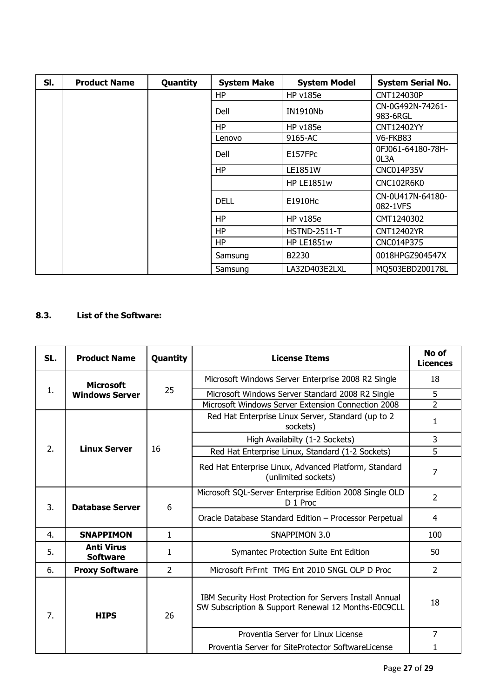| SI. | <b>Product Name</b> | Quantity | <b>System Make</b> | <b>System Model</b> | <b>System Serial No.</b>     |
|-----|---------------------|----------|--------------------|---------------------|------------------------------|
|     |                     |          | HP                 | <b>HP v185e</b>     | CNT124030P                   |
|     |                     |          | Dell               | <b>IN1910Nb</b>     | CN-0G492N-74261-<br>983-6RGL |
|     |                     |          | <b>HP</b>          | <b>HP v185e</b>     | CNT12402YY                   |
|     |                     |          | Lenovo             | 9165-AC             | V6-FKB83                     |
|     |                     |          | Dell               | E157FPc             | 0FJ061-64180-78H-<br>OL3A    |
|     |                     |          | <b>HP</b>          | LE1851W             | <b>CNC014P35V</b>            |
|     |                     |          |                    | <b>HP LE1851w</b>   | CNC102R6K0                   |
|     |                     |          | <b>DELL</b>        | E1910Hc             | CN-0U417N-64180-<br>082-1VFS |
|     |                     |          | <b>HP</b>          | <b>HP v185e</b>     | CMT1240302                   |
|     |                     |          | <b>HP</b>          | $HSTND-2511-T$      | CNT12402YR                   |
|     |                     |          | <b>HP</b>          | <b>HP LE1851w</b>   | CNC014P375                   |
|     |                     |          | Samsung            | B2230               | 0018HPGZ904547X              |
|     |                     |          | Samsung            | LA32D403E2LXL       | MO503EBD200178L              |

## **8.3. List of the Software:**

| SL. | <b>Product Name</b>                  | Quantity       | <b>License Items</b>                                                                                           | No of<br><b>Licences</b> |
|-----|--------------------------------------|----------------|----------------------------------------------------------------------------------------------------------------|--------------------------|
|     | <b>Microsoft</b>                     |                | Microsoft Windows Server Enterprise 2008 R2 Single                                                             | 18                       |
| 1.  | <b>Windows Server</b>                | 25             | Microsoft Windows Server Standard 2008 R2 Single                                                               | 5                        |
|     |                                      |                | Microsoft Windows Server Extension Connection 2008                                                             | $\overline{2}$           |
|     |                                      |                | Red Hat Enterprise Linux Server, Standard (up to 2)<br>sockets)                                                | 1                        |
|     |                                      |                | High Availabilty (1-2 Sockets)                                                                                 | 3                        |
| 2.  | <b>Linux Server</b>                  | 16             | Red Hat Enterprise Linux, Standard (1-2 Sockets)                                                               | 5                        |
|     |                                      |                | Red Hat Enterprise Linux, Advanced Platform, Standard<br>(unlimited sockets)                                   | 7                        |
| 3.  | <b>Database Server</b>               | 6              | Microsoft SQL-Server Enterprise Edition 2008 Single OLD<br>D 1 Proc                                            | $\overline{2}$           |
|     |                                      |                | Oracle Database Standard Edition - Processor Perpetual                                                         | 4                        |
| 4.  | <b>SNAPPIMON</b>                     | $\mathbf{1}$   | SNAPPIMON 3.0                                                                                                  | 100                      |
| 5.  | <b>Anti Virus</b><br><b>Software</b> | 1              | Symantec Protection Suite Ent Edition                                                                          | 50                       |
| 6.  | <b>Proxy Software</b>                | $\overline{2}$ | Microsoft FrFrnt TMG Ent 2010 SNGL OLP D Proc                                                                  | $\overline{2}$           |
| 7.  | <b>HIPS</b>                          | 26             | IBM Security Host Protection for Servers Install Annual<br>SW Subscription & Support Renewal 12 Months-E0C9CLL | 18                       |
|     |                                      |                | Proventia Server for Linux License                                                                             | $\overline{7}$           |
|     |                                      |                | Proventia Server for SiteProtector SoftwareLicense                                                             | 1                        |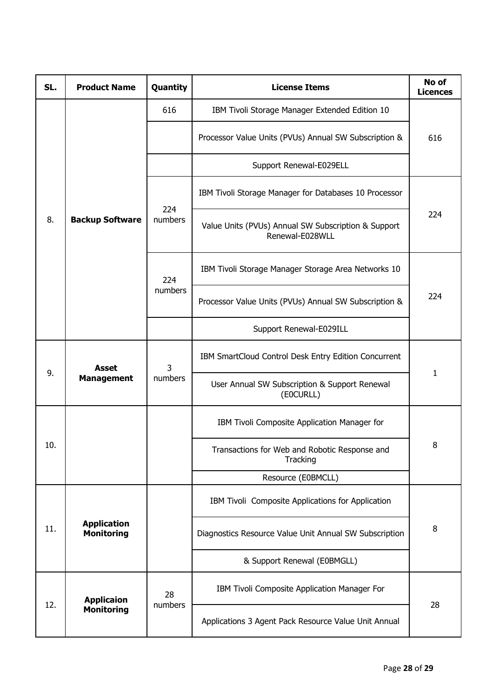| SL. | <b>Product Name</b>                     | Quantity      | <b>License Items</b>                                                   | No of<br><b>Licences</b> |  |
|-----|-----------------------------------------|---------------|------------------------------------------------------------------------|--------------------------|--|
|     |                                         | 616           | IBM Tivoli Storage Manager Extended Edition 10                         |                          |  |
|     |                                         |               | Processor Value Units (PVUs) Annual SW Subscription &                  | 616                      |  |
|     |                                         |               | Support Renewal-E029ELL                                                |                          |  |
|     |                                         | 224           | IBM Tivoli Storage Manager for Databases 10 Processor                  |                          |  |
| 8.  | <b>Backup Software</b>                  | numbers       | Value Units (PVUs) Annual SW Subscription & Support<br>Renewal-E028WLL | 224                      |  |
|     |                                         | 224           | IBM Tivoli Storage Manager Storage Area Networks 10                    |                          |  |
|     |                                         | numbers       | Processor Value Units (PVUs) Annual SW Subscription &                  | 224                      |  |
|     |                                         |               | Support Renewal-E029ILL                                                |                          |  |
| 9.  | <b>Asset</b>                            | 3             | IBM SmartCloud Control Desk Entry Edition Concurrent                   | 1                        |  |
|     | <b>Management</b>                       | numbers       | User Annual SW Subscription & Support Renewal<br>(E0CURLL)             |                          |  |
|     |                                         |               | IBM Tivoli Composite Application Manager for                           |                          |  |
| 10. |                                         |               | Transactions for Web and Robotic Response and<br>Tracking              | 8                        |  |
|     |                                         |               | Resource (E0BMCLL)                                                     |                          |  |
|     |                                         |               | IBM Tivoli Composite Applications for Application                      |                          |  |
| 11. | <b>Application</b><br><b>Monitoring</b> |               | Diagnostics Resource Value Unit Annual SW Subscription                 | 8                        |  |
|     |                                         |               | & Support Renewal (E0BMGLL)                                            |                          |  |
| 12. | <b>Applicaion</b>                       | 28<br>numbers | IBM Tivoli Composite Application Manager For                           | 28                       |  |
|     | <b>Monitoring</b>                       |               | Applications 3 Agent Pack Resource Value Unit Annual                   |                          |  |